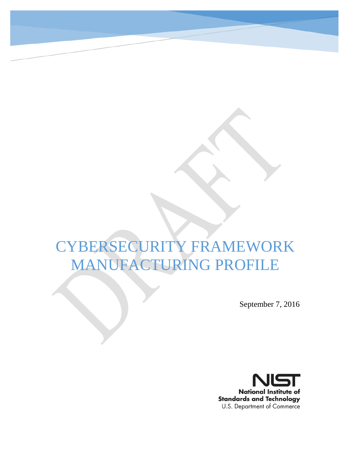# CYBERSECURITY FRAMEWORK MANUFACTURING PROFILE

September 7, 2016

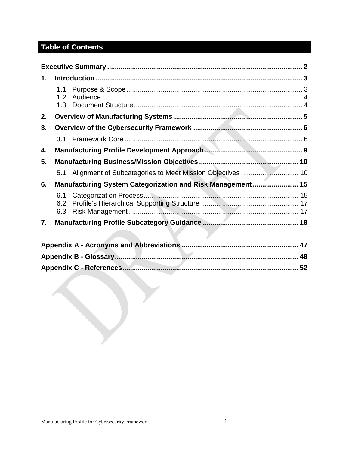## Table of Contents

| 1. |                                |                                                             |    |
|----|--------------------------------|-------------------------------------------------------------|----|
|    | 1.1<br>1.2 <sub>1</sub><br>1.3 |                                                             |    |
| 2. |                                |                                                             |    |
| 3. |                                |                                                             |    |
|    | 3.1                            |                                                             |    |
| 4. |                                |                                                             |    |
| 5. |                                |                                                             |    |
|    | 5.1                            |                                                             |    |
| 6. |                                | Manufacturing System Categorization and Risk Management  15 |    |
|    | 6.1<br>6.2<br>6.3              |                                                             |    |
| 7. |                                |                                                             |    |
|    |                                |                                                             |    |
|    |                                |                                                             |    |
|    |                                |                                                             |    |
|    |                                |                                                             | 52 |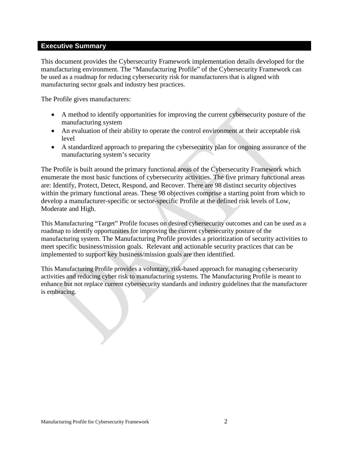#### <span id="page-2-0"></span>**Executive Summary**

This document provides the Cybersecurity Framework implementation details developed for the manufacturing environment. The "Manufacturing Profile" of the Cybersecurity Framework can be used as a roadmap for reducing cybersecurity risk for manufacturers that is aligned with manufacturing sector goals and industry best practices.

The Profile gives manufacturers:

- A method to identify opportunities for improving the current cybersecurity posture of the manufacturing system
- An evaluation of their ability to operate the control environment at their acceptable risk level
- A standardized approach to preparing the cybersecurity plan for ongoing assurance of the manufacturing system's security

The Profile is built around the primary functional areas of the Cybersecurity Framework which enumerate the most basic functions of cybersecurity activities. The five primary functional areas are: Identify, Protect, Detect, Respond, and Recover. There are 98 distinct security objectives within the primary functional areas. These 98 objectives comprise a starting point from which to develop a manufacturer-specific or sector-specific Profile at the defined risk levels of Low, Moderate and High.

This Manufacturing "Target" Profile focuses on desired cybersecurity outcomes and can be used as a roadmap to identify opportunities for improving the current cybersecurity posture of the manufacturing system. The Manufacturing Profile provides a prioritization of security activities to meet specific business/mission goals. Relevant and actionable security practices that can be implemented to support key business/mission goals are then identified.

This Manufacturing Profile provides a voluntary, risk-based approach for managing cybersecurity activities and reducing cyber risk to manufacturing systems. The Manufacturing Profile is meant to enhance but not replace current cybersecurity standards and industry guidelines that the manufacturer is embracing.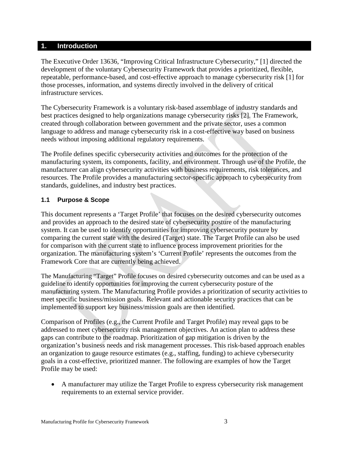#### <span id="page-3-0"></span>**1. Introduction**

The Executive Order 13636, "Improving Critical Infrastructure Cybersecurity," [\[1\]](#page-52-1) directed the development of the voluntary Cybersecurity Framework that provides a prioritized, flexible, repeatable, performance-based, and cost-effective approach to manage cybersecurity risk [1] for those processes, information, and systems directly involved in the delivery of critical infrastructure services.

The Cybersecurity Framework is a voluntary risk-based assemblage of industry standards and best practices designed to help organizations manage cybersecurity risks [2]. The Framework, created through collaboration between government and the private sector, uses a common language to address and manage cybersecurity risk in a cost-effective way based on business needs without imposing additional regulatory requirements.

The Profile defines specific cybersecurity activities and outcomes for the protection of the manufacturing system, its components, facility, and environment. Through use of the Profile, the manufacturer can align cybersecurity activities with business requirements, risk tolerances, and resources. The Profile provides a manufacturing sector-specific approach to cybersecurity from standards, guidelines, and industry best practices.

#### <span id="page-3-1"></span>**1.1 Purpose & Scope**

This document represents a 'Target Profile' that focuses on the desired cybersecurity outcomes and provides an approach to the desired state of cybersecurity posture of the manufacturing system. It can be used to identify opportunities for improving cybersecurity posture by comparing the current state with the desired (Target) state. The Target Profile can also be used for comparison with the current state to influence process improvement priorities for the organization. The manufacturing system's 'Current Profile' represents the outcomes from the Framework Core that are currently being achieved.

The Manufacturing "Target" Profile focuses on desired cybersecurity outcomes and can be used as a guideline to identify opportunities for improving the current cybersecurity posture of the manufacturing system. The Manufacturing Profile provides a prioritization of security activities to meet specific business/mission goals. Relevant and actionable security practices that can be implemented to support key business/mission goals are then identified.

Comparison of Profiles (e.g., the Current Profile and Target Profile) may reveal gaps to be addressed to meet cybersecurity risk management objectives. An action plan to address these gaps can contribute to the roadmap. Prioritization of gap mitigation is driven by the organization's business needs and risk management processes. This risk-based approach enables an organization to gauge resource estimates (e.g., staffing, funding) to achieve cybersecurity goals in a cost-effective, prioritized manner. The following are examples of how the Target Profile may be used:

• A manufacturer may utilize the Target Profile to express cybersecurity risk management requirements to an external service provider.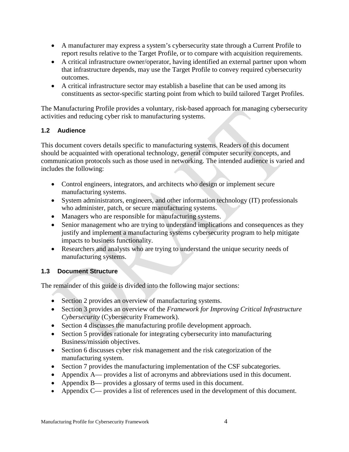- A manufacturer may express a system's cybersecurity state through a Current Profile to report results relative to the Target Profile, or to compare with acquisition requirements.
- A critical infrastructure owner/operator, having identified an external partner upon whom that infrastructure depends, may use the Target Profile to convey required cybersecurity outcomes.
- A critical infrastructure sector may establish a baseline that can be used among its constituents as sector-specific starting point from which to build tailored Target Profiles.

The Manufacturing Profile provides a voluntary, risk-based approach for managing cybersecurity activities and reducing cyber risk to manufacturing systems.

#### <span id="page-4-0"></span>**1.2 Audience**

This document covers details specific to manufacturing systems. Readers of this document should be acquainted with operational technology, general computer security concepts, and communication protocols such as those used in networking. The intended audience is varied and includes the following:

- Control engineers, integrators, and architects who design or implement secure manufacturing systems.
- System administrators, engineers, and other information technology (IT) professionals who administer, patch, or secure manufacturing systems.
- Managers who are responsible for manufacturing systems.
- Senior management who are trying to understand implications and consequences as they justify and implement a manufacturing systems cybersecurity program to help mitigate impacts to business functionality.
- Researchers and analysts who are trying to understand the unique security needs of manufacturing systems.

#### <span id="page-4-1"></span>**1.3 Document Structure**

The remainder of this guide is divided into the following major sections:

- Section 2 provides an overview of manufacturing systems.
- Section 3 provides an overview of the *Framework for Improving Critical Infrastructure Cybersecurity* (Cybersecurity Framework).
- Section 4 discusses the manufacturing profile development approach.
- Section 5 provides rationale for integrating cybersecurity into manufacturing Business/mission objectives.
- Section 6 discusses cyber risk management and the risk categorization of the manufacturing system.
- Section 7 provides the manufacturing implementation of the CSF subcategories.
- Appendix A— provides a list of acronyms and abbreviations used in this document.
- Appendix B— provides a glossary of terms used in this document.
- Appendix C— provides a list of references used in the development of this document.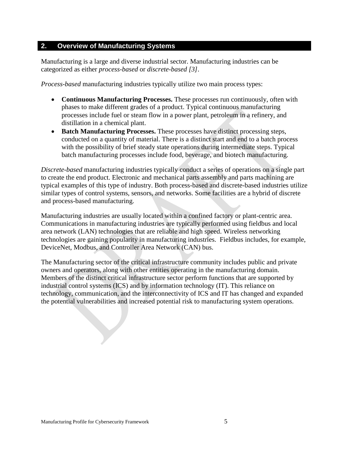#### <span id="page-5-0"></span>**2. Overview of Manufacturing Systems**

Manufacturing is a large and diverse industrial sector. Manufacturing industries can be categorized as either *process-based* or *discrete-based [3]*.

*Process-based* manufacturing industries typically utilize two main process types:

- **Continuous Manufacturing Processes.** These processes run continuously, often with phases to make different grades of a product. Typical continuous manufacturing processes include fuel or steam flow in a power plant, petroleum in a refinery, and distillation in a chemical plant.
- **Batch Manufacturing Processes.** These processes have distinct processing steps, conducted on a quantity of material. There is a distinct start and end to a batch process with the possibility of brief steady state operations during intermediate steps. Typical batch manufacturing processes include food, beverage, and biotech manufacturing.

*Discrete-based* manufacturing industries typically conduct a series of operations on a single part to create the end product. Electronic and mechanical parts assembly and parts machining are typical examples of this type of industry. Both process-based and discrete-based industries utilize similar types of control systems, sensors, and networks. Some facilities are a hybrid of discrete and process-based manufacturing.

Manufacturing industries are usually located within a confined factory or plant-centric area. Communications in manufacturing industries are typically performed using fieldbus and local area network (LAN) technologies that are reliable and high speed. Wireless networking technologies are gaining popularity in manufacturing industries. Fieldbus includes, for example, DeviceNet, Modbus, and Controller Area Network (CAN) bus.

The Manufacturing sector of the critical infrastructure community includes public and private owners and operators, along with other entities operating in the manufacturing domain. Members of the distinct critical infrastructure sector perform functions that are supported by industrial control systems (ICS) and by information technology (IT). This reliance on technology, communication, and the interconnectivity of ICS and IT has changed and expanded the potential vulnerabilities and increased potential risk to manufacturing system operations.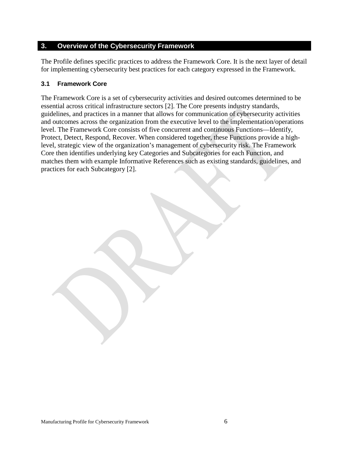#### <span id="page-6-0"></span>**3. Overview of the Cybersecurity Framework**

The Profile defines specific practices to address the Framework Core. It is the next layer of detail for implementing cybersecurity best practices for each category expressed in the Framework.

#### <span id="page-6-1"></span>**3.1 Framework Core**

The Framework Core is a set of cybersecurity activities and desired outcomes determined to be essential across critical infrastructure sectors [2]. The Core presents industry standards, guidelines, and practices in a manner that allows for communication of cybersecurity activities and outcomes across the organization from the executive level to the implementation/operations level. The Framework Core consists of five concurrent and continuous Functions—Identify, Protect, Detect, Respond, Recover. When considered together, these Functions provide a highlevel, strategic view of the organization's management of cybersecurity risk. The Framework Core then identifies underlying key Categories and Subcategories for each Function, and matches them with example Informative References such as existing standards, guidelines, and practices for each Subcategory [2].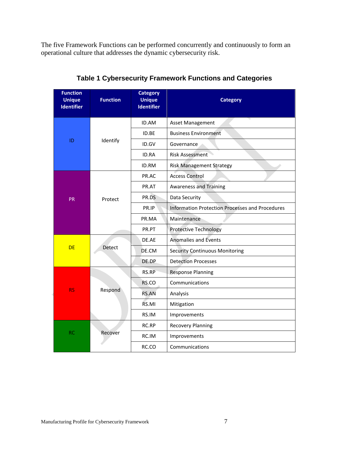The five Framework Functions can be performed concurrently and continuously to form an operational culture that addresses the dynamic cybersecurity risk.

| <b>Function</b><br><b>Unique</b><br><b>Identifier</b> | <b>Function</b> | <b>Category</b><br><b>Unique</b><br><b>Identifier</b> | <b>Category</b>                                        |
|-------------------------------------------------------|-----------------|-------------------------------------------------------|--------------------------------------------------------|
|                                                       |                 | ID.AM                                                 | <b>Asset Management</b>                                |
|                                                       |                 | ID.BE                                                 | <b>Business Environment</b>                            |
| ID                                                    | Identify        | ID.GV                                                 | Governance                                             |
|                                                       |                 | ID.RA                                                 | <b>Risk Assessment</b>                                 |
|                                                       |                 | ID.RM                                                 | <b>Risk Management Strategy</b>                        |
|                                                       |                 | PR.AC                                                 | <b>Access Control</b>                                  |
|                                                       |                 | PR.AT                                                 | <b>Awareness and Training</b>                          |
| <b>PR</b>                                             | Protect         | PR.DS                                                 | Data Security                                          |
|                                                       |                 | PR.IP                                                 | <b>Information Protection Processes and Procedures</b> |
|                                                       |                 | PR.MA                                                 | Maintenance                                            |
|                                                       |                 | PR.PT                                                 | <b>Protective Technology</b>                           |
|                                                       |                 | DE.AE                                                 | <b>Anomalies and Events</b>                            |
| <b>DE</b>                                             | Detect          | DE.CM                                                 | <b>Security Continuous Monitoring</b>                  |
|                                                       |                 | DE.DP                                                 | <b>Detection Processes</b>                             |
|                                                       |                 | RS.RP                                                 | <b>Response Planning</b>                               |
|                                                       |                 | RS.CO                                                 | Communications                                         |
| <b>RS</b>                                             | Respond         | <b>RS.AN</b>                                          | Analysis                                               |
|                                                       |                 | RS.MI                                                 | Mitigation                                             |
|                                                       |                 | RS.IM                                                 | Improvements                                           |
|                                                       |                 | RC.RP                                                 | <b>Recovery Planning</b>                               |
| <b>RC</b>                                             | Recover         | RC.IM                                                 | Improvements                                           |
|                                                       |                 | RC.CO                                                 | Communications                                         |

**Table 1 Cybersecurity Framework Functions and Categories**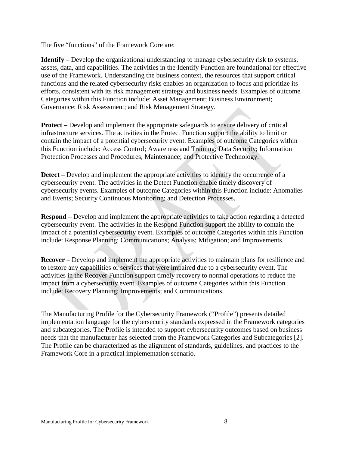The five "functions" of the Framework Core are:

**Identify** – Develop the organizational understanding to manage cybersecurity risk to systems, assets, data, and capabilities. The activities in the Identify Function are foundational for effective use of the Framework. Understanding the business context, the resources that support critical functions and the related cybersecurity risks enables an organization to focus and prioritize its efforts, consistent with its risk management strategy and business needs. Examples of outcome Categories within this Function include: Asset Management; Business Environment; Governance; Risk Assessment; and Risk Management Strategy.

**Protect** – Develop and implement the appropriate safeguards to ensure delivery of critical infrastructure services. The activities in the Protect Function support the ability to limit or contain the impact of a potential cybersecurity event. Examples of outcome Categories within this Function include: Access Control; Awareness and Training; Data Security; Information Protection Processes and Procedures; Maintenance; and Protective Technology.

**Detect** – Develop and implement the appropriate activities to identify the occurrence of a cybersecurity event. The activities in the Detect Function enable timely discovery of cybersecurity events. Examples of outcome Categories within this Function include: Anomalies and Events; Security Continuous Monitoring; and Detection Processes.

**Respond** – Develop and implement the appropriate activities to take action regarding a detected cybersecurity event. The activities in the Respond Function support the ability to contain the impact of a potential cybersecurity event. Examples of outcome Categories within this Function include: Response Planning; Communications; Analysis; Mitigation; and Improvements.

**Recover** – Develop and implement the appropriate activities to maintain plans for resilience and to restore any capabilities or services that were impaired due to a cybersecurity event. The activities in the Recover Function support timely recovery to normal operations to reduce the impact from a cybersecurity event. Examples of outcome Categories within this Function include: Recovery Planning; Improvements; and Communications.

The Manufacturing Profile for the Cybersecurity Framework ("Profile") presents detailed implementation language for the cybersecurity standards expressed in the Framework categories and subcategories. The Profile is intended to support cybersecurity outcomes based on business needs that the manufacturer has selected from the Framework Categories and Subcategories [2]. The Profile can be characterized as the alignment of standards, guidelines, and practices to the Framework Core in a practical implementation scenario.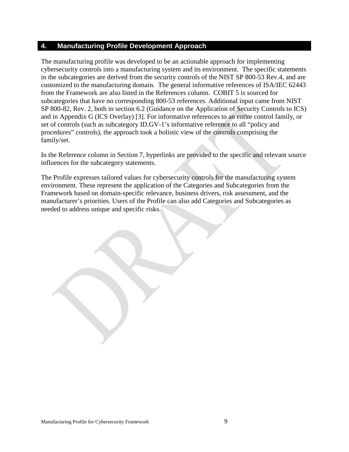#### <span id="page-9-0"></span>**4. Manufacturing Profile Development Approach**

The manufacturing profile was developed to be an actionable approach for implementing cybersecurity controls into a manufacturing system and its environment. The specific statements in the subcategories are derived from the security controls of the NIST SP 800-53 Rev.4, and are customized to the manufacturing domain. The general informative references of ISA/IEC 62443 from the Framework are also listed in the References column. COBIT 5 is sourced for subcategories that have no corresponding 800-53 references. Additional input came from NIST SP 800-82, Rev. 2, both in section 6.2 (Guidance on the Application of Security Controls to ICS) and in Appendix G (ICS Overlay) [3]. For informative references to an entire control family, or set of controls (such as subcategory ID.GV-1's informative reference to all "policy and procedures" controls), the approach took a holistic view of the controls comprising the family/set.

In the Reference column in Section 7, hyperlinks are provided to the specific and relevant source influences for the subcategory statements.

The Profile expresses tailored values for cybersecurity controls for the manufacturing system environment. These represent the application of the Categories and Subcategories from the Framework based on domain-specific relevance, business drivers, risk assessment, and the manufacturer's priorities. Users of the Profile can also add Categories and Subcategories as needed to address unique and specific risks.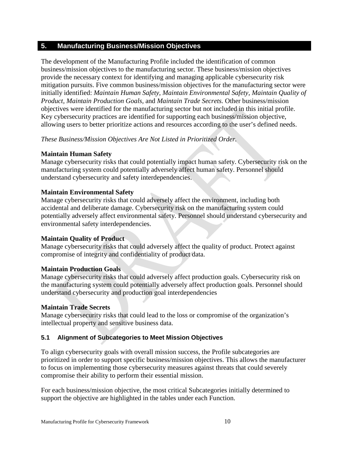#### <span id="page-10-0"></span>**5. Manufacturing Business/Mission Objectives**

The development of the Manufacturing Profile included the identification of common business/mission objectives to the manufacturing sector. These business/mission objectives provide the necessary context for identifying and managing applicable cybersecurity risk mitigation pursuits. Five common business/mission objectives for the manufacturing sector were initially identified: *Maintain Human Safety, Maintain Environmental Safety, Maintain Quality of Product, Maintain Production Goals,* and *Maintain Trade Secrets.* Other business/mission objectives were identified for the manufacturing sector but not included in this initial profile. Key cybersecurity practices are identified for supporting each business/mission objective, allowing users to better prioritize actions and resources according to the user's defined needs.

#### *These Business/Mission Objectives Are Not Listed in Prioritized Order.*

#### **Maintain Human Safety**

Manage cybersecurity risks that could potentially impact human safety. Cybersecurity risk on the manufacturing system could potentially adversely affect human safety. Personnel should understand cybersecurity and safety interdependencies.

#### **Maintain Environmental Safety**

Manage cybersecurity risks that could adversely affect the environment, including both accidental and deliberate damage. Cybersecurity risk on the manufacturing system could potentially adversely affect environmental safety. Personnel should understand cybersecurity and environmental safety interdependencies.

#### **Maintain Quality of Product**

Manage cybersecurity risks that could adversely affect the quality of product. Protect against compromise of integrity and confidentiality of product data.

#### **Maintain Production Goals**

Manage cybersecurity risks that could adversely affect production goals. Cybersecurity risk on the manufacturing system could potentially adversely affect production goals. Personnel should understand cybersecurity and production goal interdependencies

#### **Maintain Trade Secrets**

Manage cybersecurity risks that could lead to the loss or compromise of the organization's intellectual property and sensitive business data.

#### <span id="page-10-1"></span>**5.1 Alignment of Subcategories to Meet Mission Objectives**

To align cybersecurity goals with overall mission success, the Profile subcategories are prioritized in order to support specific business/mission objectives. This allows the manufacturer to focus on implementing those cybersecurity measures against threats that could severely compromise their ability to perform their essential mission.

For each business/mission objective, the most critical Subcategories initially determined to support the objective are highlighted in the tables under each Function.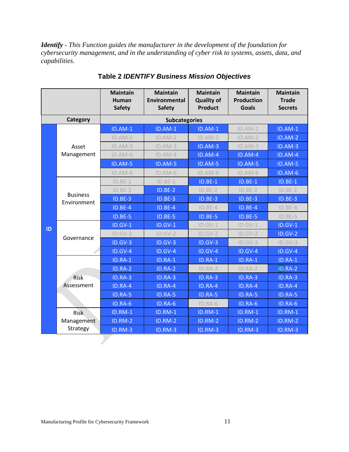<span id="page-11-0"></span>*Identify - This Function guides the manufacturer in the development of the foundation for cybersecurity management, and in the understanding of cyber risk to systems, assets, data, and capabilities.* 

|    |                                | <b>Maintain</b><br><b>Human</b><br><b>Safety</b> | <b>Maintain</b><br><b>Environmental</b><br><b>Safety</b> | <b>Maintain</b><br><b>Quality of</b><br><b>Product</b> | <b>Maintain</b><br><b>Production</b><br><b>Goals</b> | <b>Maintain</b><br><b>Trade</b><br><b>Secrets</b> |
|----|--------------------------------|--------------------------------------------------|----------------------------------------------------------|--------------------------------------------------------|------------------------------------------------------|---------------------------------------------------|
|    | Category                       |                                                  | <b>Subcategories</b>                                     |                                                        |                                                      |                                                   |
|    |                                | <b>ID.AM-1</b>                                   | <b>ID.AM-1</b>                                           | <b>ID.AM-1</b>                                         | $ID.AM-1$                                            | <b>ID.AM-1</b>                                    |
|    |                                | $ID.AM-2$                                        | $ID.AM-2$                                                | $ID.AM-2$                                              | ID.AM-2                                              | ID.AM-2                                           |
|    | Asset                          | $ID.AM-3$                                        | $ID.AM-3$                                                | ID.AM-3                                                | $ID.AM-3$                                            | ID.AM-3                                           |
|    | Management                     | $ID.AM-4$                                        | $ID.AM-4$                                                | ID.AM-4                                                | ID.AM-4                                              | ID.AM-4                                           |
|    |                                | ID.AM-5                                          | ID.AM-5                                                  | ID.AM-5                                                | ID.AM-5                                              | ID.AM-5                                           |
|    |                                | $ID.AM-6$                                        | $ID.AM-6$                                                | $ID.AM-6$                                              | $ID.AM-6$                                            | ID.AM-6                                           |
|    |                                | $ID.BE-1$                                        | $ID.BE-1$                                                | $ID.BE-1$                                              | $ID.BE-1$                                            | <b>ID.BE-1</b>                                    |
|    |                                | $ID.BE-2$                                        | $ID.BE-2$                                                | $ID.BE-2$                                              | $ID.BE-2$                                            | $ID.BE-2$                                         |
|    | <b>Business</b><br>Environment | ID.BE-3                                          | ID.BE-3                                                  | ID.BE-3                                                | ID.BE-3                                              | ID.BE-3                                           |
|    |                                | <b>ID.BE-4</b>                                   | ID.BE-4                                                  | ID.BE-4                                                | ID.BE-4                                              | ID.BE-4                                           |
|    |                                | <b>ID.BE-5</b>                                   | ID.BE-5                                                  | ID.BE-5                                                | ID.BE-5                                              | ID.BE-5                                           |
| ID | Governance                     | ID.GV-1                                          | <b>ID.GV-1</b>                                           | $ID.GV-1$                                              | $ID.GV-1$                                            | $ID.GV-1$                                         |
|    |                                | $ID.GV-2$                                        | $ID.GV-2$                                                | $ID.GV-2$                                              | $ID.GV-2$                                            | ID.GV-2                                           |
|    |                                | $ID.GV-3$                                        | ID.GV-3                                                  | ID.GV-3                                                | $ID.GV-3$                                            | $ID.GV-3$                                         |
|    |                                | $ID.GV-4$                                        | <b>ID.GV-4</b>                                           | <b>ID.GV-4</b>                                         | ID.GV-4                                              | $ID.GV-4$                                         |
|    |                                | ID.RA-1                                          | ID.RA-1                                                  | ID.RA-1                                                | ID.RA-1                                              | ID.RA-1                                           |
|    |                                | ID.RA-2                                          | ID.RA-2                                                  | ID.RA-2                                                | ID.RA-2                                              | ID.RA-2                                           |
|    | Risk                           | ID.RA-3                                          | ID.RA-3                                                  | ID.RA-3                                                | ID.RA-3                                              | ID.RA-3                                           |
|    | Assessment                     | ID.RA-4                                          | ID.RA-4                                                  | ID.RA-4                                                | ID.RA-4                                              | ID.RA-4                                           |
|    |                                | ID.RA-5                                          | <b>ID.RA-5</b>                                           | <b>ID.RA-5</b>                                         | ID.RA-5                                              | ID.RA-5                                           |
|    |                                | ID.RA-6                                          | ID.RA-6                                                  | ID.RA-6                                                | ID.RA-6                                              | ID.RA-6                                           |
|    | <b>Risk</b>                    | <b>ID.RM-1</b>                                   | <b>ID.RM-1</b>                                           | <b>ID.RM-1</b>                                         | <b>ID.RM-1</b>                                       | $ID.RM-1$                                         |
|    | Management                     | <b>ID.RM-2</b>                                   | ID.RM-2                                                  | ID.RM-2                                                | ID.RM-2                                              | ID.RM-2                                           |
|    | Strategy                       | ID.RM-3                                          | <b>ID.RM-3</b>                                           | ID.RM-3                                                | ID.RM-3                                              | ID.RM-3                                           |

**Table 2** *IDENTIFY Business Mission Objectives*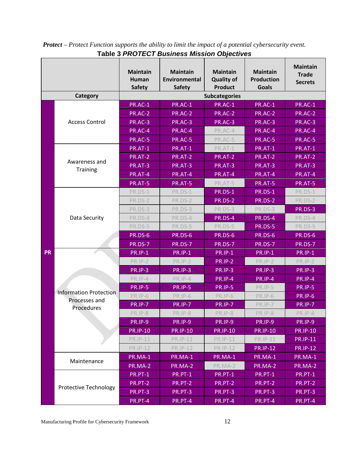|           |                               | <b>Maintain</b><br>Human<br><b>Safety</b> | <b>Maintain</b><br><b>Environmental</b><br><b>Safety</b> | <b>Maintain</b><br><b>Quality of</b><br><b>Product</b> | <b>Maintain</b><br><b>Production</b><br><b>Goals</b> | <b>Maintain</b><br><b>Trade</b><br><b>Secrets</b> |
|-----------|-------------------------------|-------------------------------------------|----------------------------------------------------------|--------------------------------------------------------|------------------------------------------------------|---------------------------------------------------|
|           | Category                      |                                           |                                                          | <b>Subcategories</b>                                   |                                                      |                                                   |
|           |                               | PR.AC-1                                   | PR.AC-1                                                  | PR.AC-1                                                | PR.AC-1                                              | <b>PR.AC-1</b>                                    |
|           |                               | <b>PR.AC-2</b>                            | <b>PR.AC-2</b>                                           | <b>PR.AC-2</b>                                         | <b>PR.AC-2</b>                                       | <b>PR.AC-2</b>                                    |
|           | <b>Access Control</b>         | PR.AC-3                                   | PR.AC-3                                                  | <b>PR.AC-3</b>                                         | PR.AC-3                                              | PR.AC-3                                           |
|           |                               | PR.AC-4                                   | PR.AC-4                                                  | PR.AC-4                                                | PR.AC-4                                              | PR.AC-4                                           |
|           |                               | <b>PR.AC-5</b>                            | <b>PR.AC-5</b>                                           | PR.AC-5                                                | PR.AC-5                                              | <b>PR.AC-5</b>                                    |
|           |                               | PR.AT-1                                   | PR.AT-1                                                  | PR.AT-1                                                | PR.AT-1                                              | PR.AT-1                                           |
|           |                               | <b>PR.AT-2</b>                            | <b>PR.AT-2</b>                                           | <b>PR.AT-2</b>                                         | <b>PR.AT-2</b>                                       | <b>PR.AT-2</b>                                    |
|           | Awareness and                 | PR.AT-3                                   | <b>PR.AT-3</b>                                           | PR.AT-3                                                | PR.AT-3                                              | PR.AT-3                                           |
|           | <b>Training</b>               | PR.AT-4                                   | PR.AT-4                                                  | PR.AT-4                                                | PR.AT-4                                              | PR.AT-4                                           |
|           |                               | <b>PR.AT-5</b>                            | <b>PR.AT-5</b>                                           | PR.AT-5                                                | <b>PR.AT-5</b>                                       | <b>PR.AT-5</b>                                    |
|           |                               | PR.DS-1                                   | PR.DS-1                                                  | <b>PR.DS-1</b>                                         | <b>PR.DS-1</b>                                       | PR.DS-1                                           |
|           |                               | PR.DS-2                                   | PR.DS-2                                                  | PR.DS-2                                                | <b>PR.DS-2</b>                                       | PR.DS-2                                           |
|           |                               | PR.DS-3                                   | PR.DS-3                                                  | PR.DS-3                                                | PR.DS-3                                              | PR.DS-3                                           |
|           | Data Security                 | PR.DS-4                                   | PR.DS-4                                                  | PR.DS-4                                                | <b>PR.DS-4</b>                                       | PR.DS-4                                           |
|           |                               | PR.DS-5                                   | PR.DS-5                                                  | PR.DS-5                                                | <b>PR.DS-5</b>                                       | PR.DS-5                                           |
|           |                               | <b>PR.DS-6</b>                            | <b>PR.DS-6</b>                                           | <b>PR.DS-6</b>                                         | <b>PR.DS-6</b>                                       | <b>PR.DS-6</b>                                    |
|           |                               | <b>PR.DS-7</b>                            | <b>PR.DS-7</b>                                           | <b>PR.DS-7</b>                                         | <b>PR.DS-7</b>                                       | PR.DS-7                                           |
| <b>PR</b> |                               | <b>PR.IP-1</b>                            | <b>PR.IP-1</b>                                           | <b>PR.IP-1</b>                                         | <b>PR.IP-1</b>                                       | <b>PR.IP-1</b>                                    |
|           |                               | <b>PR.IP-2</b>                            | <b>PR.IP-2</b>                                           | <b>PR.IP-2</b>                                         | <b>PR.IP-2</b>                                       | <b>PR.IP-2</b>                                    |
|           |                               | <b>PR.IP-3</b>                            | <b>PR.IP-3</b>                                           | <b>PR.IP-3</b>                                         | <b>PR.IP-3</b>                                       | <b>PR.IP-3</b>                                    |
|           |                               | <b>PR.IP-4</b>                            | PR.IP-4                                                  | <b>PR.IP-4</b>                                         | <b>PR.IP-4</b>                                       | <b>PR.IP-4</b>                                    |
|           |                               | <b>PR.IP-5</b>                            | <b>PR.IP-5</b>                                           | <b>PR.IP-5</b>                                         | <b>PR.IP-5</b>                                       | <b>PR.IP-5</b>                                    |
|           | <b>Information Protection</b> | PR.IP-6                                   | PR.IP-6                                                  | PR.IP-6                                                | PR.IP-6                                              | <b>PR.IP-6</b>                                    |
|           | Processes and<br>Procedures   | <b>PR.IP-7</b>                            | <b>PR.IP-7</b>                                           | <b>PR.IP-7</b>                                         | PR.IP-7                                              | <b>PR.IP-7</b>                                    |
|           |                               | PR.IP-8                                   | PR.IP-8                                                  | PR.IP-8                                                | PR.IP-8                                              | PR.IP-8                                           |
|           |                               | <b>PR.IP-9</b>                            | PR.IP-9                                                  | <b>PR.IP-9</b>                                         | PR.IP-9                                              | <b>PR.IP-9</b>                                    |
|           |                               | <b>PR.IP-10</b>                           | <b>PR.IP-10</b>                                          | <b>PR.IP-10</b>                                        | <b>PR.IP-10</b>                                      | <b>PR.IP-10</b>                                   |
|           |                               | PR.IP-11                                  | PR.IP-11                                                 | <b>PR.IP-11</b>                                        | <b>PR.IP-11</b>                                      | <b>PR.IP-11</b>                                   |
|           |                               | <b>PR.IP-12</b>                           | <b>PR.IP-12</b>                                          | <b>PR.IP-12</b>                                        | <b>PR.IP-12</b>                                      | <b>PR.IP-12</b>                                   |
|           |                               | PR.MA-1                                   | PR.MA-1                                                  | PR.MA-1                                                | PR.MA-1                                              | PR.MA-1                                           |
|           | Maintenance                   | PR.MA-2                                   | PR.MA-2                                                  | PR.MA-2                                                | PR.MA-2                                              | PR.MA-2                                           |
|           |                               | PR.PT-1                                   | PR.PT-1                                                  | PR.PT-1                                                | PR.PT-1                                              | PR.PT-1                                           |
|           |                               | PR.PT-2                                   | PR.PT-2                                                  | PR.PT-2                                                | PR.PT-2                                              | PR.PT-2                                           |
|           | Protective Technology         | PR.PT-3                                   | PR.PT-3                                                  | PR.PT-3                                                | PR.PT-3                                              | PR.PT-3                                           |
|           |                               | PR.PT-4                                   | <b>PR.PT-4</b>                                           | PR.PT-4                                                | PR.PT-4                                              | $PR.PT-4$                                         |

<span id="page-12-0"></span>*Protect – Protect Function supports the ability to limit the impact of a potential cybersecurity event.*  **Table 3** *PROTECT Business Mission Objectives*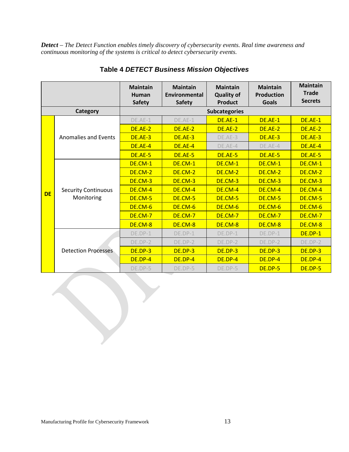<span id="page-13-0"></span>*Detect – The Detect Function enables timely discovery of cybersecurity events. Real time awareness and continuous monitoring of the systems is critical to detect cybersecurity events.* 

|           |                            | <b>Maintain</b><br>Human<br><b>Safety</b> | <b>Maintain</b><br>Environmental<br><b>Safety</b> | <b>Maintain</b><br><b>Quality of</b><br><b>Product</b> | <b>Maintain</b><br><b>Production</b><br><b>Goals</b> | <b>Maintain</b><br><b>Trade</b><br><b>Secrets</b> |
|-----------|----------------------------|-------------------------------------------|---------------------------------------------------|--------------------------------------------------------|------------------------------------------------------|---------------------------------------------------|
|           | <b>Category</b>            |                                           |                                                   | <b>Subcategories</b>                                   |                                                      |                                                   |
|           |                            | DE.AE-1                                   | DE.AE-1                                           | DE.AE-1                                                | DE.AE-1                                              | <b>DE.AE-1</b>                                    |
|           |                            | DE.AE-2                                   | DE.AE-2                                           | DE.AE-2                                                | DE.AE-2                                              | DE.AE-2                                           |
|           | Anomalies and Events       | DE.AE-3                                   | DE.AE-3                                           | DE.AE-3                                                | DE.AE-3                                              | DE.AE-3                                           |
|           |                            | DE.AE-4                                   | DE.AE-4                                           | DE.AE-4                                                | DE.AE-4                                              | <b>DE.AE-4</b>                                    |
|           |                            | DE.AE-5                                   | DE.AE-5                                           | DE.AE-5                                                | DE.AE-5                                              | DE.AE-5                                           |
|           |                            | DE.CM-1                                   | DE.CM-1                                           | DE.CM-1                                                | DE.CM-1                                              | DE.CM-1                                           |
|           |                            | DE.CM-2                                   | DE.CM-2                                           | DE.CM-2                                                | DE.CM-2                                              | DE.CM-2                                           |
|           |                            | DE.CM-3                                   | DE.CM-3                                           | DE.CM-3                                                | DE.CM-3                                              | DE.CM-3                                           |
| <b>DE</b> | <b>Security Continuous</b> | DE.CM-4                                   | DE.CM-4                                           | DE.CM-4                                                | DE.CM-4                                              | DE.CM-4                                           |
|           | Monitoring                 | DE.CM-5                                   | DE.CM-5                                           | DE.CM-5                                                | DE.CM-5                                              | DE.CM-5                                           |
|           |                            | DE.CM-6                                   | DE.CM-6                                           | DE.CM-6                                                | DE.CM-6                                              | DE.CM-6                                           |
|           |                            | DE.CM-7                                   | <b>DE.CM-7</b>                                    | DE.CM-7                                                | <b>DE.CM-7</b>                                       | <b>DE.CM-7</b>                                    |
|           |                            | DE.CM-8                                   | DE.CM-8                                           | DE.CM-8                                                | DE.CM-8                                              | DE.CM-8                                           |
|           |                            | $DE.DP-1$                                 | $DE.DP-1$                                         | $DE.DP-1$                                              | DE.DP-1                                              | DE.DP-1                                           |
|           |                            | DE.DP-2                                   | DE.DP-2                                           | DE.DP-2                                                | DE.DP-2                                              | DE.DP-2                                           |
|           | <b>Detection Processes</b> | DE.DP-3                                   | DE.DP-3                                           | DE.DP-3                                                | DE.DP-3                                              | <b>DE.DP-3</b>                                    |
|           |                            | DE.DP-4                                   | DE.DP-4                                           | DE.DP-4                                                | DE.DP-4                                              | DE.DP-4                                           |
|           |                            | DE.DP-5                                   | DE.DP-5                                           | DE.DP-5                                                | DE.DP-5                                              | DE.DP-5                                           |

#### **Table 4** *DETECT Business Mission Objectives*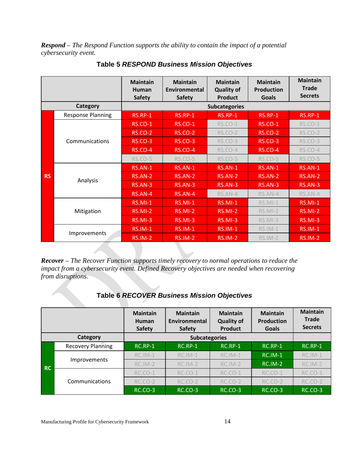<span id="page-14-0"></span>*Respond – The Respond Function supports the ability to contain the impact of a potential cybersecurity event.* 

|           |                          | <b>Maintain</b><br>Human<br><b>Safety</b> | <b>Maintain</b><br>Environmental<br><b>Safety</b> | <b>Maintain</b><br><b>Quality of</b><br><b>Product</b> | <b>Maintain</b><br><b>Production</b><br><b>Goals</b> | <b>Maintain</b><br><b>Trade</b><br><b>Secrets</b> |
|-----------|--------------------------|-------------------------------------------|---------------------------------------------------|--------------------------------------------------------|------------------------------------------------------|---------------------------------------------------|
|           | <b>Category</b>          |                                           |                                                   | <b>Subcategories</b>                                   |                                                      |                                                   |
|           | <b>Response Planning</b> | <b>RS.RP-1</b>                            | <b>RS.RP-1</b>                                    | <b>RS.RP-1</b>                                         | <b>RS.RP-1</b>                                       | <b>RS.RP-1</b>                                    |
|           |                          | <b>RS.CO-1</b>                            | <b>RS.CO-1</b>                                    | <b>RS.CO-1</b>                                         | <b>RS.CO-1</b>                                       | <b>RS.CO-1</b>                                    |
|           |                          | <b>RS.CO-2</b>                            | <b>RS.CO-2</b>                                    | <b>RS.CO-2</b>                                         | <b>RS.CO-2</b>                                       | <b>RS.CO-2</b>                                    |
|           | Communications           | <b>RS.CO-3</b>                            | <b>RS.CO-3</b>                                    | <b>RS.CO-3</b>                                         | <b>RS.CO-3</b>                                       | <b>RS.CO-3</b>                                    |
|           |                          | <b>RS.CO-4</b>                            | <b>RS.CO-4</b>                                    | RS.CO-4                                                | <b>RS.CO-4</b>                                       | RS.CO-4                                           |
|           |                          | <b>RS.CO-5</b>                            | <b>RS.CO-5</b>                                    | <b>RS.CO-5</b>                                         | <b>RS.CO-5</b>                                       | <b>RS.CO-5</b>                                    |
|           |                          | RS.AN-1                                   | $RS. AN-1$                                        | RS.AN-1                                                | $RSAN-1$                                             | <b>RS.AN-1</b>                                    |
| <b>RS</b> | Analysis                 | RS.AN-2                                   | RS.AN-2                                           | RS.AN-2                                                | RS.AN-2                                              | RS.AN-2                                           |
|           |                          | RS.AN-3                                   | RS.AN-3                                           | RS.AN-3                                                | $RS.AN-3$                                            | <b>RS.AN-3</b>                                    |
|           |                          | <b>RS.AN-4</b>                            | RS.AN-4                                           | RS.AN-4                                                | RS.AN-4                                              | RS.AN-4                                           |
|           |                          | $RS.MI-1$                                 | $RS.MI-1$                                         | <b>RS.MI-1</b>                                         | $RS.MI-1$                                            | <b>RS.MI-1</b>                                    |
|           | Mitigation               | <b>RS.MI-2</b>                            | RS.MI-2                                           | <b>RS.MI-2</b>                                         | RS.MI-2                                              | <b>RS.MI-2</b>                                    |
|           |                          | <b>RS.MI-3</b>                            | <b>RS.MI-3</b>                                    | <b>RS.MI-3</b>                                         | RS.MI-3                                              | <b>RS.MI-3</b>                                    |
|           |                          | <b>RS.IM-1</b>                            | <b>RS.IM-1</b>                                    | <b>RS.IM-1</b>                                         | $RS.IM-1$                                            | <b>RS.IM-1</b>                                    |
|           | Improvements             | <b>RS.IM-2</b>                            | <b>RS.IM-2</b>                                    | <b>RS.IM-2</b>                                         | $RS.IM-2$                                            | <b>RS.IM-2</b>                                    |

**Table 5** *RESPOND Business Mission Objectives*

<span id="page-14-1"></span>*Recover – The Recover Function supports timely recovery to normal operations to reduce the impact from a cybersecurity event. Defined Recovery objectives are needed when recovering from disruptions.* 

|           |                          | <b>Maintain</b><br>Human<br><b>Safety</b> | <b>Maintain</b><br>Environmental<br><b>Safety</b> | <b>Maintain</b><br><b>Quality of</b><br><b>Product</b> | <b>Maintain</b><br><b>Production</b><br><b>Goals</b> | <b>Maintain</b><br><b>Trade</b><br><b>Secrets</b> |
|-----------|--------------------------|-------------------------------------------|---------------------------------------------------|--------------------------------------------------------|------------------------------------------------------|---------------------------------------------------|
|           | Category                 |                                           | <b>Subcategories</b>                              |                                                        |                                                      |                                                   |
|           | <b>Recovery Planning</b> | $RC$ .RP-1                                | $RC$ .RP-1                                        | $RC$ .RP-1                                             | $RC$ .RP-1                                           | $RC$ .RP-1                                        |
|           | Improvements             | RC.IM-1                                   | RC.IM-1                                           | RC.IM-1                                                | <b>RC.IM-1</b>                                       | RC.IM-1                                           |
| <b>RC</b> |                          | $RC.IM-2$                                 | $RC.IM-2$                                         | $RC.IM-2$                                              | $RC.IM-2$                                            | RC.IM-2                                           |
|           |                          | RC.CO-1                                   | RC.CO-1                                           | RC.CO-1                                                | RC.CO-1                                              | RC.CO-1                                           |
|           | Communications           | <b>RC.CO-2</b>                            | <b>RC.CO-2</b>                                    | <b>RC.CO-2</b>                                         | <b>RC.CO-2</b>                                       | <b>RC.CO-2</b>                                    |
|           |                          | <b>RC.CO-3</b>                            | <b>RC.CO-3</b>                                    | RC.CO-3                                                | <b>RC.CO-3</b>                                       | $RCCO-3$                                          |

#### **Table 6** *RECOVER Business Mission Objectives*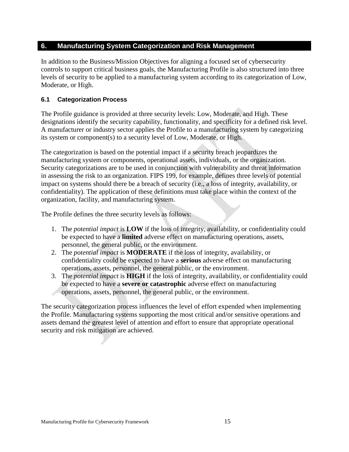#### <span id="page-15-0"></span>**6. Manufacturing System Categorization and Risk Management**

In addition to the Business/Mission Objectives for aligning a focused set of cybersecurity controls to support critical business goals, the Manufacturing Profile is also structured into three levels of security to be applied to a manufacturing system according to its categorization of Low, Moderate, or High.

#### <span id="page-15-1"></span>**6.1 Categorization Process**

The Profile guidance is provided at three security levels: Low, Moderate, and High. These designations identify the security capability, functionality, and specificity for a defined risk level. A manufacturer or industry sector applies the Profile to a manufacturing system by categorizing its system or component(s) to a security level of Low, Moderate, or High.

The categorization is based on the potential impact if a security breach jeopardizes the manufacturing system or components, operational assets, individuals, or the organization. Security categorizations are to be used in conjunction with vulnerability and threat information in assessing the risk to an organization. FIPS 199, for example, defines three levels of potential impact on systems should there be a breach of security (i.e., a loss of integrity, availability, or confidentiality). The application of these definitions must take place within the context of the organization, facility, and manufacturing system.

The Profile defines the three security levels as follows:

- 1. The *potential impact* is **LOW** if the loss of integrity, availability, or confidentiality could be expected to have a **limited** adverse effect on manufacturing operations, assets, personnel, the general public, or the environment.
- 2. The *potential impact* is **MODERATE** if the loss of integrity, availability, or confidentiality could be expected to have a **serious** adverse effect on manufacturing operations, assets, personnel, the general public, or the environment.
- 3. The *potential impact* is **HIGH** if the loss of integrity, availability, or confidentiality could be expected to have a **severe or catastrophic** adverse effect on manufacturing operations, assets, personnel, the general public, or the environment.

The security categorization process influences the level of effort expended when implementing the Profile. Manufacturing systems supporting the most critical and/or sensitive operations and assets demand the greatest level of attention and effort to ensure that appropriate operational security and risk mitigation are achieved.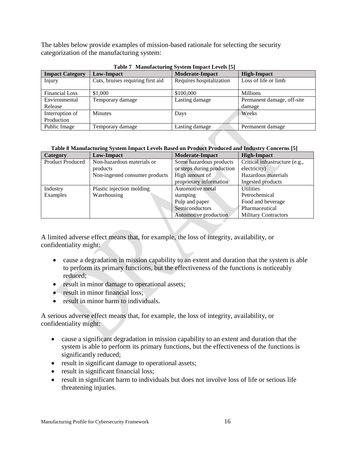The tables below provide examples of mission-based rationale for selecting the security categorization of the manufacturing system:

| <b>Impact Category</b> | <b>Low-Impact</b>                 | <b>Moderate-Impact</b>   | <b>High-Impact</b>         |
|------------------------|-----------------------------------|--------------------------|----------------------------|
|                        |                                   |                          |                            |
| Injury                 | Cuts, bruises requiring first aid | Requires hospitalization | Loss of life or limb       |
|                        |                                   |                          |                            |
| <b>Financial Loss</b>  | \$1,000                           | \$100,000                | <b>Millions</b>            |
| Environmental          | Temporary damage                  | Lasting damage           | Permanent damage, off-site |
| Release                |                                   |                          | damage                     |
| Interruption of        | <b>Minutes</b>                    | Days                     | Weeks                      |
| Production             |                                   |                          |                            |
| Public Image           | Temporary damage                  | Lasting damage           | Permanent damage           |

**Table 7 Manufacturing System Impact Levels [5]**

| Table 8 Manufacturing System Impact Levels Based on Product Produced and Industry Concerns [5] |  |  |  |
|------------------------------------------------------------------------------------------------|--|--|--|
|                                                                                                |  |  |  |

| Category                | Low-Impact                     | <b>Moderate-Impact</b>     | <b>High-Impact</b>             |
|-------------------------|--------------------------------|----------------------------|--------------------------------|
| <b>Product Produced</b> | Non-hazardous materials or     | Some hazardous products    | Critical infrastructure (e.g., |
|                         | products                       | or steps during production | electricity)                   |
|                         | Non-ingested consumer products | High amount of             | Hazardous materials            |
|                         |                                | proprietary information    | Ingested products              |
| Industry                | Plastic injection molding      | Automotive metal           | <b>Utilities</b>               |
| Examples                | Warehousing                    | stamping                   | Petrochemical                  |
|                         |                                | Pulp and paper             | Food and beverage              |
|                         |                                | Semiconductors             | Pharmaceutical                 |
|                         |                                | Automotive production      | <b>Military Contractors</b>    |

A limited adverse effect means that, for example, the loss of integrity, availability, or confidentiality might:

- cause a degradation in mission capability to an extent and duration that the system is able to perform its primary functions, but the effectiveness of the functions is noticeably reduced;
- result in minor damage to operational assets;
- result in minor financial loss:
- result in minor harm to individuals.

A serious adverse effect means that, for example, the loss of integrity, availability, or confidentiality might:

- cause a significant degradation in mission capability to an extent and duration that the system is able to perform its primary functions, but the effectiveness of the functions is significantly reduced;
- result in significant damage to operational assets;
- result in significant financial loss;
- result in significant harm to individuals but does not involve loss of life or serious life threatening injuries.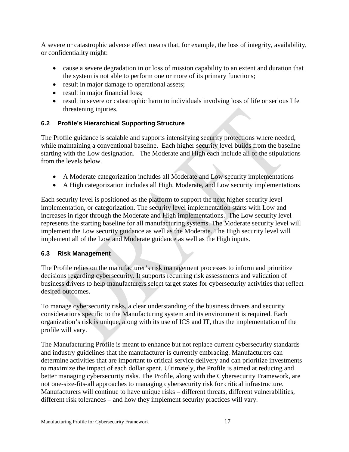A severe or catastrophic adverse effect means that, for example, the loss of integrity, availability, or confidentiality might:

- cause a severe degradation in or loss of mission capability to an extent and duration that the system is not able to perform one or more of its primary functions;
- result in major damage to operational assets;
- result in major financial loss;
- result in severe or catastrophic harm to individuals involving loss of life or serious life threatening injuries.

#### <span id="page-17-0"></span>**6.2 Profile's Hierarchical Supporting Structure**

The Profile guidance is scalable and supports intensifying security protections where needed, while maintaining a conventional baseline. Each higher security level builds from the baseline starting with the Low designation. The Moderate and High each include all of the stipulations from the levels below.

- A Moderate categorization includes all Moderate and Low security implementations
- A High categorization includes all High, Moderate, and Low security implementations

Each security level is positioned as the platform to support the next higher security level implementation, or categorization. The security level implementation starts with Low and increases in rigor through the Moderate and High implementations. The Low security level represents the starting baseline for all manufacturing systems. The Moderate security level will implement the Low security guidance as well as the Moderate. The High security level will implement all of the Low and Moderate guidance as well as the High inputs.

#### <span id="page-17-1"></span>**6.3 Risk Management**

The Profile relies on the manufacturer's risk management processes to inform and prioritize decisions regarding cybersecurity. It supports recurring risk assessments and validation of business drivers to help manufacturers select target states for cybersecurity activities that reflect desired outcomes.

To manage cybersecurity risks, a clear understanding of the business drivers and security considerations specific to the Manufacturing system and its environment is required. Each organization's risk is unique, along with its use of ICS and IT, thus the implementation of the profile will vary.

The Manufacturing Profile is meant to enhance but not replace current cybersecurity standards and industry guidelines that the manufacturer is currently embracing. Manufacturers can determine activities that are important to critical service delivery and can prioritize investments to maximize the impact of each dollar spent. Ultimately, the Profile is aimed at reducing and better managing cybersecurity risks. The Profile, along with the Cybersecurity Framework, are not one-size-fits-all approaches to managing cybersecurity risk for critical infrastructure. Manufacturers will continue to have unique risks – different threats, different vulnerabilities, different risk tolerances – and how they implement security practices will vary.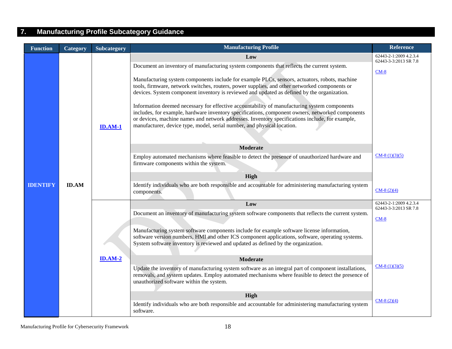## **7. Manufacturing Profile Subcategory Guidance**

<span id="page-18-0"></span>

| <b>Function</b> | Category     | Subcategory    | <b>Manufacturing Profile</b>                                                                                                                                                                                                                                                                                                                                                                                                                                                                                                                                                                                                                                                                                                                                                         | <b>Reference</b>                                          |
|-----------------|--------------|----------------|--------------------------------------------------------------------------------------------------------------------------------------------------------------------------------------------------------------------------------------------------------------------------------------------------------------------------------------------------------------------------------------------------------------------------------------------------------------------------------------------------------------------------------------------------------------------------------------------------------------------------------------------------------------------------------------------------------------------------------------------------------------------------------------|-----------------------------------------------------------|
|                 |              | <b>ID.AM-1</b> | Low<br>Document an inventory of manufacturing system components that reflects the current system.<br>Manufacturing system components include for example PLCs, sensors, actuators, robots, machine<br>tools, firmware, network switches, routers, power supplies, and other networked components or<br>devices. System component inventory is reviewed and updated as defined by the organization.<br>Information deemed necessary for effective accountability of manufacturing system components<br>includes, for example, hardware inventory specifications, component owners, networked components<br>or devices, machine names and network addresses. Inventory specifications include, for example,<br>manufacturer, device type, model, serial number, and physical location. | 62443-2-1:2009 4.2.3.4<br>62443-3-3:2013 SR 7.8<br>$CM-8$ |
|                 |              |                | <b>Moderate</b>                                                                                                                                                                                                                                                                                                                                                                                                                                                                                                                                                                                                                                                                                                                                                                      |                                                           |
|                 |              |                | Employ automated mechanisms where feasible to detect the presence of unauthorized hardware and<br>firmware components within the system.                                                                                                                                                                                                                                                                                                                                                                                                                                                                                                                                                                                                                                             | $CM-8(1)(3)(5)$                                           |
|                 |              |                | High                                                                                                                                                                                                                                                                                                                                                                                                                                                                                                                                                                                                                                                                                                                                                                                 |                                                           |
| <b>IDENTIFY</b> | <b>ID.AM</b> |                | Identify individuals who are both responsible and accountable for administering manufacturing system<br>components.                                                                                                                                                                                                                                                                                                                                                                                                                                                                                                                                                                                                                                                                  | $CM-8(2)(4)$                                              |
|                 |              |                | Low                                                                                                                                                                                                                                                                                                                                                                                                                                                                                                                                                                                                                                                                                                                                                                                  | 62443-2-1:2009 4.2.3.4<br>62443-3-3:2013 SR 7.8           |
|                 |              |                | Document an inventory of manufacturing system software components that reflects the current system.                                                                                                                                                                                                                                                                                                                                                                                                                                                                                                                                                                                                                                                                                  | $CM-8$                                                    |
|                 |              |                | Manufacturing system software components include for example software license information,<br>software version numbers, HMI and other ICS component applications, software, operating systems.<br>System software inventory is reviewed and updated as defined by the organization.                                                                                                                                                                                                                                                                                                                                                                                                                                                                                                  |                                                           |
|                 |              | $ID. AM-2$     | <b>Moderate</b>                                                                                                                                                                                                                                                                                                                                                                                                                                                                                                                                                                                                                                                                                                                                                                      |                                                           |
|                 |              |                | Update the inventory of manufacturing system software as an integral part of component installations,<br>removals, and system updates. Employ automated mechanisms where feasible to detect the presence of<br>unauthorized software within the system.                                                                                                                                                                                                                                                                                                                                                                                                                                                                                                                              | $CM-8(1)(3)(5)$                                           |
|                 |              |                | High                                                                                                                                                                                                                                                                                                                                                                                                                                                                                                                                                                                                                                                                                                                                                                                 |                                                           |
|                 |              |                | Identify individuals who are both responsible and accountable for administering manufacturing system<br>software.                                                                                                                                                                                                                                                                                                                                                                                                                                                                                                                                                                                                                                                                    | $CM-8(2)(4)$                                              |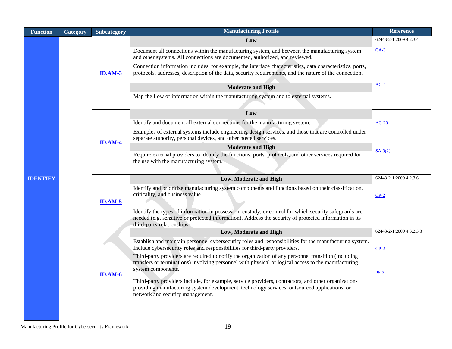| <b>Function</b> | Category | Subcategory    | <b>Manufacturing Profile</b>                                                                                                                                                                                                                   | <b>Reference</b>         |
|-----------------|----------|----------------|------------------------------------------------------------------------------------------------------------------------------------------------------------------------------------------------------------------------------------------------|--------------------------|
|                 |          |                | Low                                                                                                                                                                                                                                            | 62443-2-1:2009 4.2.3.4   |
|                 |          |                | Document all connections within the manufacturing system, and between the manufacturing system<br>and other systems. All connections are documented, authorized, and reviewed.                                                                 | $CA-3$                   |
|                 |          | <b>ID.AM-3</b> | Connection information includes, for example, the interface characteristics, data characteristics, ports,<br>protocols, addresses, description of the data, security requirements, and the nature of the connection.                           |                          |
|                 |          |                | <b>Moderate and High</b>                                                                                                                                                                                                                       | $AC-4$                   |
|                 |          |                | Map the flow of information within the manufacturing system and to external systems.                                                                                                                                                           |                          |
|                 |          |                | Low                                                                                                                                                                                                                                            |                          |
|                 |          |                | Identify and document all external connections for the manufacturing system.                                                                                                                                                                   | $AC-20$                  |
|                 |          | <b>ID.AM-4</b> | Examples of external systems include engineering design services, and those that are controlled under<br>separate authority, personal devices, and other hosted services.                                                                      |                          |
|                 |          |                | <b>Moderate and High</b>                                                                                                                                                                                                                       | $SA-9(2)$                |
|                 |          |                | Require external providers to identify the functions, ports, protocols, and other services required for<br>the use with the manufacturing system.                                                                                              |                          |
| <b>IDENTIFY</b> |          |                | Low, Moderate and High                                                                                                                                                                                                                         | 62443-2-1:2009 4.2.3.6   |
|                 |          | <b>ID.AM-5</b> | Identify and prioritize manufacturing system components and functions based on their classification,<br>criticality, and business value.                                                                                                       | $CP-2$                   |
|                 |          |                | Identify the types of information in possession, custody, or control for which security safeguards are<br>needed (e.g. sensitive or protected information). Address the security of protected information in its<br>third-party relationships. |                          |
|                 |          |                | Low, Moderate and High                                                                                                                                                                                                                         | 62443-2-1:2009 4.3.2.3.3 |
|                 |          |                | Establish and maintain personnel cybersecurity roles and responsibilities for the manufacturing system.<br>Include cybersecurity roles and responsibilities for third-party providers.                                                         | $CP-2$                   |
|                 |          |                | Third-party providers are required to notify the organization of any personnel transition (including<br>transfers or terminations) involving personnel with physical or logical access to the manufacturing<br>system components.              |                          |
|                 |          | $ID. AM-6$     |                                                                                                                                                                                                                                                | $PS-7$                   |
|                 |          |                | Third-party providers include, for example, service providers, contractors, and other organizations<br>providing manufacturing system development, technology services, outsourced applications, or<br>network and security management.        |                          |
|                 |          |                |                                                                                                                                                                                                                                                |                          |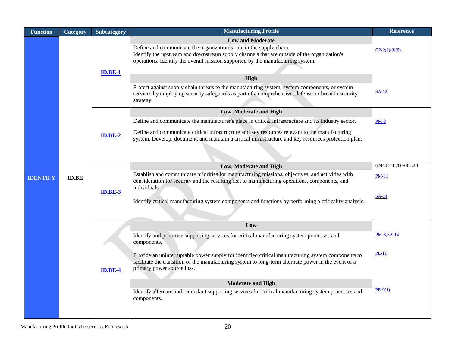| <b>Function</b> | Category     | <b>Subcategory</b> | <b>Manufacturing Profile</b>                                                                                                                                                                                                                                                                                                | <b>Reference</b>        |
|-----------------|--------------|--------------------|-----------------------------------------------------------------------------------------------------------------------------------------------------------------------------------------------------------------------------------------------------------------------------------------------------------------------------|-------------------------|
|                 |              | $ID.BE-1$          | <b>Low and Moderate</b><br>Define and communicate the organization's role in the supply chain.<br>Identify the upstream and downstream supply channels that are outside of the organization's<br>operations. Identify the overall mission supported by the manufacturing system.                                            | $CP-2(1)(3)(8)$         |
|                 |              |                    | <b>High</b>                                                                                                                                                                                                                                                                                                                 |                         |
|                 |              |                    | Protect against supply chain threats to the manufacturing system, system components, or system<br>services by employing security safeguards as part of a comprehensive, defense-in-breadth security<br>strategy.                                                                                                            | $SA-12$                 |
|                 |              |                    | Low, Moderate and High                                                                                                                                                                                                                                                                                                      |                         |
|                 |              |                    | Define and communicate the manufacturer's place in critical infrastructure and its industry sector.                                                                                                                                                                                                                         | $PM-8$                  |
|                 |              | $ID.BE-2$          | Define and communicate critical infrastructure and key resources relevant to the manufacturing<br>system. Develop, document, and maintain a critical infrastructure and key resources protection plan.                                                                                                                      |                         |
|                 |              |                    |                                                                                                                                                                                                                                                                                                                             |                         |
|                 |              |                    | Low, Moderate and High                                                                                                                                                                                                                                                                                                      | 62443-2-1:2009 4.2.2.1  |
| <b>IDENTIFY</b> | <b>ID.BE</b> | $ID.BE-3$          | Establish and communicate priorities for manufacturing missions, objectives, and activities with<br>consideration for security and the resulting risk to manufacturing operations, components, and<br>individuals.<br>Identify critical manufacturing system components and functions by performing a criticality analysis. | <b>PM-11</b><br>$SA-14$ |
|                 |              |                    | Low                                                                                                                                                                                                                                                                                                                         |                         |
|                 |              |                    | Identify and prioritize supporting services for critical manufacturing system processes and<br>components.                                                                                                                                                                                                                  | PM-8, SA-14             |
|                 |              | <b>ID.BE-4</b>     | Provide an uninterruptable power supply for identified critical manufacturing system components to<br>facilitate the transition of the manufacturing system to long-term alternate power in the event of a<br>primary power source loss.                                                                                    | <b>PE-11</b>            |
|                 |              |                    | <b>Moderate and High</b>                                                                                                                                                                                                                                                                                                    |                         |
|                 |              |                    | Identify alternate and redundant supporting services for critical manufacturing system processes and<br>components.                                                                                                                                                                                                         | $PE-9(1)$               |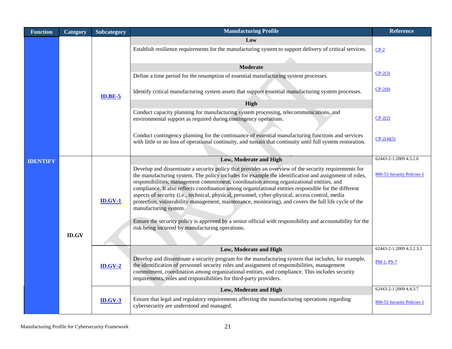| <b>Function</b> | Category     | <b>Subcategory</b> | <b>Manufacturing Profile</b>                                                                                                                                                                                                                                                                                                                                                                                                                                                                                                                                                                                                                                                                                                                                                                                               | <b>Reference</b>                              |
|-----------------|--------------|--------------------|----------------------------------------------------------------------------------------------------------------------------------------------------------------------------------------------------------------------------------------------------------------------------------------------------------------------------------------------------------------------------------------------------------------------------------------------------------------------------------------------------------------------------------------------------------------------------------------------------------------------------------------------------------------------------------------------------------------------------------------------------------------------------------------------------------------------------|-----------------------------------------------|
|                 |              | <b>ID.BE-5</b>     | Low<br>Establish resilience requirements for the manufacturing system to support delivery of critical services.<br><b>Moderate</b><br>Define a time period for the resumption of essential manufacturing system processes.<br>Identify critical manufacturing system assets that support essential manufacturing system processes.<br>High<br>Conduct capacity planning for manufacturing system processing, telecommunications, and<br>environmental support as required during contingency operations.                                                                                                                                                                                                                                                                                                                   | $CP-2$<br>$CP-2(3)$<br>$CP-2(8)$<br>$CP-2(2)$ |
|                 |              |                    | Conduct contingency planning for the continuance of essential manufacturing functions and services<br>with little or no loss of operational continuity, and sustain that continuity until full system restoration.                                                                                                                                                                                                                                                                                                                                                                                                                                                                                                                                                                                                         | $CP-2(4)(5)$<br>62443-2-1:2009 4.3.2.6        |
| <b>IDENTIFY</b> |              |                    | Low, Moderate and High                                                                                                                                                                                                                                                                                                                                                                                                                                                                                                                                                                                                                                                                                                                                                                                                     |                                               |
|                 | <b>ID.GV</b> | $ID.GV-1$          | Develop and disseminate a security policy that provides an overview of the security requirements for<br>the manufacturing system. The policy includes for example the identification and assignment of roles,<br>responsibilities, management commitment, coordination among organizational entities, and<br>compliance. It also reflects coordination among organizational entities responsible for the different<br>aspects of security (i.e., technical, physical, personnel, cyber-physical, access control, media<br>protection, vulnerability management, maintenance, monitoring), and covers the full life cycle of the<br>manufacturing system.<br>Ensure the security policy is approved by a senior official with responsibility and accountability for the<br>risk being incurred by manufacturing operations. | 800-53 Security Policies-1                    |
|                 |              |                    | Low, Moderate and High                                                                                                                                                                                                                                                                                                                                                                                                                                                                                                                                                                                                                                                                                                                                                                                                     | 62443-2-1:2009 4.3.2.3.3                      |
|                 |              | $ID.GV-2$          | Develop and disseminate a security program for the manufacturing system that includes, for example,<br>the identification of personnel security roles and assignment of responsibilities, management<br>commitment, coordination among organizational entities, and compliance. This includes security<br>requirements, roles and responsibilities for third-party providers.                                                                                                                                                                                                                                                                                                                                                                                                                                              | PM-1, PS-7                                    |
|                 |              |                    | Low, Moderate and High                                                                                                                                                                                                                                                                                                                                                                                                                                                                                                                                                                                                                                                                                                                                                                                                     | 62443-2-1:2009 4.4.3.7                        |
|                 |              | $ID.GV-3$          | Ensure that legal and regulatory requirements affecting the manufacturing operations regarding<br>cybersecurity are understood and managed.                                                                                                                                                                                                                                                                                                                                                                                                                                                                                                                                                                                                                                                                                | 800-53 Security Policies-1                    |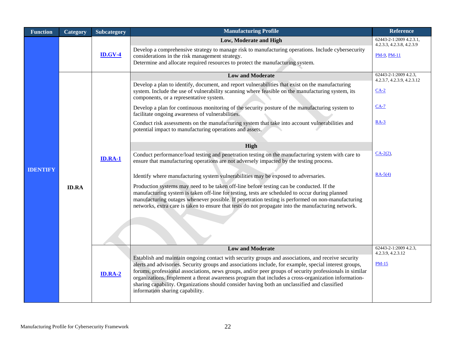| <b>Function</b> | Category     | <b>Subcategory</b> | <b>Manufacturing Profile</b>                                                                                                                                                                                                                                                                                                                                                                                                                                                                                                                                      | Reference                                            |
|-----------------|--------------|--------------------|-------------------------------------------------------------------------------------------------------------------------------------------------------------------------------------------------------------------------------------------------------------------------------------------------------------------------------------------------------------------------------------------------------------------------------------------------------------------------------------------------------------------------------------------------------------------|------------------------------------------------------|
|                 |              |                    | Low, Moderate and High                                                                                                                                                                                                                                                                                                                                                                                                                                                                                                                                            | 62443-2-1:2009 4.2.3.1,<br>4.2.3.3, 4.2.3.8, 4.2.3.9 |
|                 |              | <b>ID.GV-4</b>     | Develop a comprehensive strategy to manage risk to manufacturing operations. Include cybersecurity<br>considerations in the risk management strategy.<br>Determine and allocate required resources to protect the manufacturing system.                                                                                                                                                                                                                                                                                                                           | <b>PM-9, PM-11</b>                                   |
|                 |              |                    | <b>Low and Moderate</b>                                                                                                                                                                                                                                                                                                                                                                                                                                                                                                                                           | 62443-2-1:2009 4.2.3,                                |
|                 |              |                    | Develop a plan to identify, document, and report vulnerabilities that exist on the manufacturing<br>system. Include the use of vulnerability scanning where feasible on the manufacturing system, its<br>components, or a representative system.                                                                                                                                                                                                                                                                                                                  | 4.2.3.7, 4.2.3.9, 4.2.3.12<br>$CA-2$                 |
|                 |              |                    | Develop a plan for continuous monitoring of the security posture of the manufacturing system to<br>facilitate ongoing awareness of vulnerabilities.                                                                                                                                                                                                                                                                                                                                                                                                               | $CA-7$                                               |
|                 |              |                    | Conduct risk assessments on the manufacturing system that take into account vulnerabilities and<br>potential impact to manufacturing operations and assets.                                                                                                                                                                                                                                                                                                                                                                                                       | $RA-3$                                               |
|                 |              |                    | High                                                                                                                                                                                                                                                                                                                                                                                                                                                                                                                                                              |                                                      |
|                 |              | <b>ID.RA-1</b>     | Conduct performance/load testing and penetration testing on the manufacturing system with care to<br>ensure that manufacturing operations are not adversely impacted by the testing process.                                                                                                                                                                                                                                                                                                                                                                      | $CA-2(2)$ ,                                          |
| <b>IDENTIFY</b> |              |                    | Identify where manufacturing system vulnerabilities may be exposed to adversaries.                                                                                                                                                                                                                                                                                                                                                                                                                                                                                | $RA-5(4)$                                            |
|                 | <b>ID.RA</b> |                    | Production systems may need to be taken off-line before testing can be conducted. If the<br>manufacturing system is taken off-line for testing, tests are scheduled to occur during planned<br>manufacturing outages whenever possible. If penetration testing is performed on non-manufacturing<br>networks, extra care is taken to ensure that tests do not propagate into the manufacturing network.                                                                                                                                                           |                                                      |
|                 |              |                    | <b>Low and Moderate</b>                                                                                                                                                                                                                                                                                                                                                                                                                                                                                                                                           | 62443-2-1:2009 4.2.3,<br>4.2.3.9, 4.2.3.12           |
|                 |              | <b>ID.RA-2</b>     | Establish and maintain ongoing contact with security groups and associations, and receive security<br>alerts and advisories. Security groups and associations include, for example, special interest groups,<br>forums, professional associations, news groups, and/or peer groups of security professionals in similar<br>organizations. Implement a threat awareness program that includes a cross-organization information-<br>sharing capability. Organizations should consider having both an unclassified and classified<br>information sharing capability. | $PM-15$                                              |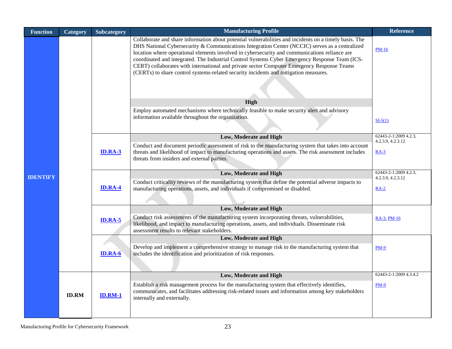| <b>Function</b> | Category       | <b>Subcategory</b>                                                                                                                                                                                                                                                                               | <b>Manufacturing Profile</b>                                                                                                                                                                                                                                                                                                                                                                                                                                                                                                                                                                      | <b>Reference</b>                           |  |
|-----------------|----------------|--------------------------------------------------------------------------------------------------------------------------------------------------------------------------------------------------------------------------------------------------------------------------------------------------|---------------------------------------------------------------------------------------------------------------------------------------------------------------------------------------------------------------------------------------------------------------------------------------------------------------------------------------------------------------------------------------------------------------------------------------------------------------------------------------------------------------------------------------------------------------------------------------------------|--------------------------------------------|--|
|                 |                |                                                                                                                                                                                                                                                                                                  | Collaborate and share information about potential vulnerabilities and incidents on a timely basis. The<br>DHS National Cybersecurity & Communications Integration Center (NCCIC) serves as a centralized<br>location where operational elements involved in cybersecurity and communications reliance are<br>coordinated and integrated. The Industrial Control Systems Cyber Emergency Response Team (ICS-<br>CERT) collaborates with international and private sector Computer Emergency Response Teams<br>(CERTs) to share control systems-related security incidents and mitigation measures. | <b>PM-16</b>                               |  |
|                 |                |                                                                                                                                                                                                                                                                                                  | High                                                                                                                                                                                                                                                                                                                                                                                                                                                                                                                                                                                              |                                            |  |
|                 |                |                                                                                                                                                                                                                                                                                                  | Employ automated mechanisms where technically feasible to make security alert and advisory                                                                                                                                                                                                                                                                                                                                                                                                                                                                                                        |                                            |  |
|                 |                |                                                                                                                                                                                                                                                                                                  | information available throughout the organization.<br>$SI-5(1)$<br>Low, Moderate and High<br>Conduct and document periodic assessment of risk to the manufacturing system that takes into account                                                                                                                                                                                                                                                                                                                                                                                                 |                                            |  |
|                 |                |                                                                                                                                                                                                                                                                                                  |                                                                                                                                                                                                                                                                                                                                                                                                                                                                                                                                                                                                   | 62443-2-1:2009 4.2.3,<br>4.2.3.9, 4.2.3.12 |  |
|                 |                | <b>ID.RA-3</b>                                                                                                                                                                                                                                                                                   | threats and likelihood of impact to manufacturing operations and assets. The risk assessment includes<br>threats from insiders and external parties.                                                                                                                                                                                                                                                                                                                                                                                                                                              | $RA-3$                                     |  |
| <b>IDENTIFY</b> | <b>ID.RA-4</b> |                                                                                                                                                                                                                                                                                                  | Low, Moderate and High                                                                                                                                                                                                                                                                                                                                                                                                                                                                                                                                                                            | 62443-2-1:2009 4.2.3,<br>4.2.3.9, 4.2.3.12 |  |
|                 |                |                                                                                                                                                                                                                                                                                                  | Conduct criticality reviews of the manufacturing system that define the potential adverse impacts to<br>manufacturing operations, assets, and individuals if compromised or disabled.                                                                                                                                                                                                                                                                                                                                                                                                             | $RA-2$                                     |  |
|                 |                |                                                                                                                                                                                                                                                                                                  |                                                                                                                                                                                                                                                                                                                                                                                                                                                                                                                                                                                                   |                                            |  |
|                 |                | <b>Low, Moderate and High</b><br>Conduct risk assessments of the manufacturing system incorporating threats, vulnerabilities,<br><b>ID.RA-5</b><br>likelihood, and impact to manufacturing operations, assets, and individuals. Disseminate risk<br>assessment results to relevant stakeholders. | RA-3, PM-16                                                                                                                                                                                                                                                                                                                                                                                                                                                                                                                                                                                       |                                            |  |
|                 |                |                                                                                                                                                                                                                                                                                                  | Low, Moderate and High                                                                                                                                                                                                                                                                                                                                                                                                                                                                                                                                                                            |                                            |  |
|                 |                | <b>ID.RA-6</b>                                                                                                                                                                                                                                                                                   | Develop and implement a comprehensive strategy to manage risk to the manufacturing system that<br>includes the identification and prioritization of risk responses.                                                                                                                                                                                                                                                                                                                                                                                                                               | <b>PM-9</b>                                |  |
|                 |                |                                                                                                                                                                                                                                                                                                  | Low, Moderate and High                                                                                                                                                                                                                                                                                                                                                                                                                                                                                                                                                                            | 62443-2-1:2009 4.3.4.2                     |  |
|                 | <b>ID.RM</b>   | <b>ID.RM-1</b>                                                                                                                                                                                                                                                                                   | Establish a risk management process for the manufacturing system that effectively identifies,<br>communicates, and facilitates addressing risk-related issues and information among key stakeholders<br>internally and externally.                                                                                                                                                                                                                                                                                                                                                                | <b>PM-9</b>                                |  |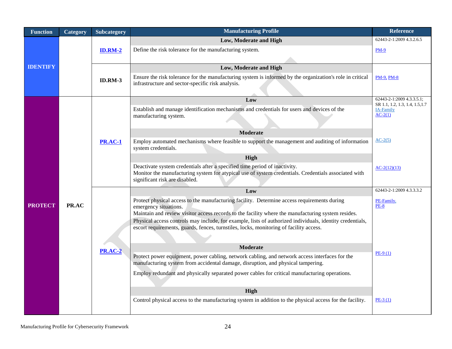| <b>Function</b> | Category | <b>Subcategory</b> | <b>Manufacturing Profile</b>                                                                                                                                                                                                                                                                                                                                                                                                      | <b>Reference</b>                                             |  |  |  |  |
|-----------------|----------|--------------------|-----------------------------------------------------------------------------------------------------------------------------------------------------------------------------------------------------------------------------------------------------------------------------------------------------------------------------------------------------------------------------------------------------------------------------------|--------------------------------------------------------------|--|--|--|--|
| <b>IDENTIFY</b> |          |                    | Low, Moderate and High                                                                                                                                                                                                                                                                                                                                                                                                            | 62443-2-1:2009 4.3.2.6.5                                     |  |  |  |  |
|                 |          | <b>ID.RM-2</b>     | Define the risk tolerance for the manufacturing system.                                                                                                                                                                                                                                                                                                                                                                           | <b>PM-9</b>                                                  |  |  |  |  |
|                 |          |                    |                                                                                                                                                                                                                                                                                                                                                                                                                                   |                                                              |  |  |  |  |
|                 |          |                    | Low, Moderate and High                                                                                                                                                                                                                                                                                                                                                                                                            |                                                              |  |  |  |  |
|                 |          | <b>ID.RM-3</b>     | Ensure the risk tolerance for the manufacturing system is informed by the organization's role in critical<br>infrastructure and sector-specific risk analysis.                                                                                                                                                                                                                                                                    | <b>PM-9, PM-8</b>                                            |  |  |  |  |
|                 |          |                    | Low                                                                                                                                                                                                                                                                                                                                                                                                                               | 62443-2-1:2009 4.3.3.5.1;<br>SR 1.1, 1.2, 1.3, 1.4, 1.5, 1.7 |  |  |  |  |
|                 |          |                    | Establish and manage identification mechanisms and credentials for users and devices of the<br>manufacturing system.                                                                                                                                                                                                                                                                                                              | IA-Family<br>$AC-2(1)$                                       |  |  |  |  |
|                 |          |                    | <b>Moderate</b>                                                                                                                                                                                                                                                                                                                                                                                                                   |                                                              |  |  |  |  |
| <b>PROTECT</b>  |          | <b>PR.AC-1</b>     | Employ automated mechanisms where feasible to support the management and auditing of information<br>system credentials.                                                                                                                                                                                                                                                                                                           | $AC-2(5)$                                                    |  |  |  |  |
|                 |          |                    | High                                                                                                                                                                                                                                                                                                                                                                                                                              |                                                              |  |  |  |  |
|                 |          |                    | Deactivate system credentials after a specified time period of inactivity.<br>Monitor the manufacturing system for atypical use of system credentials. Credentials associated with<br>significant risk are disabled.                                                                                                                                                                                                              | $AC-2(12)(13)$                                               |  |  |  |  |
|                 |          |                    | Low                                                                                                                                                                                                                                                                                                                                                                                                                               | 62443-2-1:2009 4.3.3.3.2                                     |  |  |  |  |
|                 | PR.AC    |                    | Protect physical access to the manufacturing facility. Determine access requirements during<br>emergency situations.<br>Maintain and review visitor access records to the facility where the manufacturing system resides.<br>Physical access controls may include, for example, lists of authorized individuals, identity credentials,<br>escort requirements, guards, fences, turnstiles, locks, monitoring of facility access. | PE-Family,<br><b>PE-8</b>                                    |  |  |  |  |
|                 |          | <b>PR.AC-2</b>     | <b>Moderate</b>                                                                                                                                                                                                                                                                                                                                                                                                                   |                                                              |  |  |  |  |
|                 |          |                    | Protect power equipment, power cabling, network cabling, and network access interfaces for the<br>manufacturing system from accidental damage, disruption, and physical tampering.                                                                                                                                                                                                                                                | $PE-9(1)$<br>High<br>$PE-3(1)$                               |  |  |  |  |
|                 |          |                    | Employ redundant and physically separated power cables for critical manufacturing operations.                                                                                                                                                                                                                                                                                                                                     |                                                              |  |  |  |  |
|                 |          |                    |                                                                                                                                                                                                                                                                                                                                                                                                                                   |                                                              |  |  |  |  |
|                 |          |                    | Control physical access to the manufacturing system in addition to the physical access for the facility.                                                                                                                                                                                                                                                                                                                          |                                                              |  |  |  |  |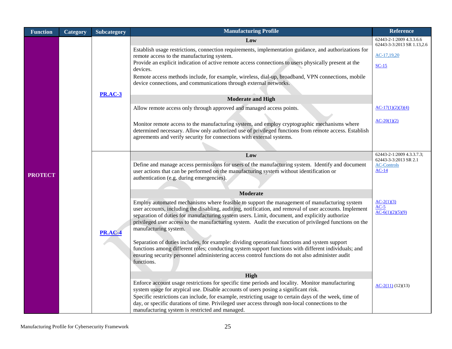| <b>Function</b> | Category | <b>Subcategory</b> | <b>Manufacturing Profile</b>                                                                                                                                                                            | <b>Reference</b>                                       |
|-----------------|----------|--------------------|---------------------------------------------------------------------------------------------------------------------------------------------------------------------------------------------------------|--------------------------------------------------------|
|                 |          |                    | Low                                                                                                                                                                                                     | 62443-2-1:2009 4.3.3.6.6<br>62443-3-3:2013 SR 1.13,2.6 |
|                 |          |                    | Establish usage restrictions, connection requirements, implementation guidance, and authorizations for                                                                                                  |                                                        |
|                 |          |                    | remote access to the manufacturing system.                                                                                                                                                              | $AC-17,19,20$                                          |
|                 |          |                    | Provide an explicit indication of active remote access connections to users physically present at the<br>devices.                                                                                       | $SC-15$                                                |
|                 |          |                    | Remote access methods include, for example, wireless, dial-up, broadband, VPN connections, mobile                                                                                                       |                                                        |
|                 |          |                    | device connections, and communications through external networks.                                                                                                                                       |                                                        |
|                 |          | <b>PR.AC-3</b>     |                                                                                                                                                                                                         |                                                        |
|                 |          |                    | <b>Moderate and High</b>                                                                                                                                                                                |                                                        |
|                 |          |                    | Allow remote access only through approved and managed access points.                                                                                                                                    | $AC-17(1)(2)(3)(4)$                                    |
|                 |          |                    |                                                                                                                                                                                                         | $AC-20(1)(2)$                                          |
|                 |          |                    | Monitor remote access to the manufacturing system, and employ cryptographic mechanisms where<br>determined necessary. Allow only authorized use of privileged functions from remote access. Establish   |                                                        |
|                 |          |                    | agreements and verify security for connections with external systems.                                                                                                                                   |                                                        |
|                 |          |                    |                                                                                                                                                                                                         |                                                        |
|                 |          |                    | Low                                                                                                                                                                                                     | 62443-2-1:2009 4.3.3.7.3;                              |
|                 |          |                    | Define and manage access permissions for users of the manufacturing system. Identify and document                                                                                                       | 62443-3-3:2013 SR 2.1<br><b>AC-Controls</b>            |
| <b>PROTECT</b>  |          |                    | user actions that can be performed on the manufacturing system without identification or                                                                                                                | $AC-14$                                                |
|                 |          |                    | authentication (e.g. during emergencies).                                                                                                                                                               |                                                        |
|                 |          |                    | Moderate                                                                                                                                                                                                |                                                        |
|                 |          |                    | Employ automated mechanisms where feasible to support the management of manufacturing system                                                                                                            | $AC-2(1)(3)$                                           |
|                 |          |                    | user accounts, including the disabling, auditing, notification, and removal of user accounts. Implement                                                                                                 | $AC-5$<br>$AC-6(1)(2)(5)(9)$                           |
|                 |          |                    | separation of duties for manufacturing system users. Limit, document, and explicitly authorize                                                                                                          |                                                        |
|                 |          |                    | privileged user access to the manufacturing system. Audit the execution of privileged functions on the<br>manufacturing system.                                                                         |                                                        |
|                 |          | <b>PR.AC-4</b>     |                                                                                                                                                                                                         |                                                        |
|                 |          |                    | Separation of duties includes, for example: dividing operational functions and system support                                                                                                           |                                                        |
|                 |          |                    | functions among different roles; conducting system support functions with different individuals; and<br>ensuring security personnel administering access control functions do not also administer audit |                                                        |
|                 |          |                    | functions.                                                                                                                                                                                              |                                                        |
|                 |          |                    |                                                                                                                                                                                                         |                                                        |
|                 |          |                    | High<br>Enforce account usage restrictions for specific time periods and locality. Monitor manufacturing                                                                                                |                                                        |
|                 |          |                    | system usage for atypical use. Disable accounts of users posing a significant risk.                                                                                                                     | $AC-2(11)(12)(13)$                                     |
|                 |          |                    | Specific restrictions can include, for example, restricting usage to certain days of the week, time of                                                                                                  |                                                        |
|                 |          |                    | day, or specific durations of time. Privileged user access through non-local connections to the<br>manufacturing system is restricted and managed.                                                      |                                                        |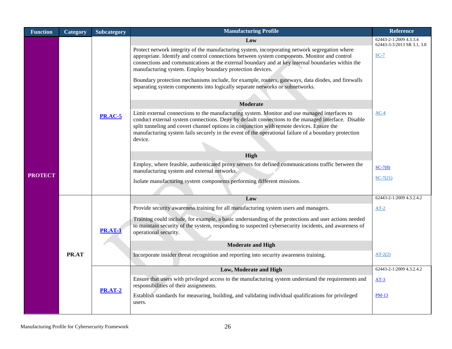| <b>Function</b> | Category | Subcategory                                                                                                                                       | <b>Manufacturing Profile</b>                                                                                                                                                                                                                                                                                                                                                                                        | <b>Reference</b>                                               |
|-----------------|----------|---------------------------------------------------------------------------------------------------------------------------------------------------|---------------------------------------------------------------------------------------------------------------------------------------------------------------------------------------------------------------------------------------------------------------------------------------------------------------------------------------------------------------------------------------------------------------------|----------------------------------------------------------------|
|                 |          |                                                                                                                                                   | Low<br>Protect network integrity of the manufacturing system, incorporating network segregation where<br>appropriate. Identify and control connections between system components. Monitor and control<br>connections and communications at the external boundary and at key internal boundaries within the<br>manufacturing system. Employ boundary protection devices.                                             | 62443-2-1:2009 4.3.3.4<br>62443-3-3:2013 SR 3.1, 3.8<br>$SC-7$ |
|                 |          |                                                                                                                                                   | Boundary protection mechanisms include, for example, routers, gateways, data diodes, and firewalls<br>separating system components into logically separate networks or subnetworks.<br><b>Moderate</b>                                                                                                                                                                                                              |                                                                |
|                 |          | <b>PR.AC-5</b>                                                                                                                                    | Limit external connections to the manufacturing system. Monitor and use managed interfaces to<br>conduct external system connections. Deny by default connections to the managed interface. Disable<br>split tunneling and covert channel options in conjunction with remote devices. Ensure the<br>manufacturing system fails securely in the event of the operational failure of a boundary protection<br>device. | $AC-4$                                                         |
|                 |          |                                                                                                                                                   | <b>High</b>                                                                                                                                                                                                                                                                                                                                                                                                         |                                                                |
| <b>PROTECT</b>  |          | Employ, where feasible, authenticated proxy servers for defined communications traffic between the<br>manufacturing system and external networks. | $SC-7(8)$                                                                                                                                                                                                                                                                                                                                                                                                           |                                                                |
|                 |          |                                                                                                                                                   | Isolate manufacturing system components performing different missions.                                                                                                                                                                                                                                                                                                                                              | $SC-7(21)$                                                     |
|                 |          |                                                                                                                                                   | Low                                                                                                                                                                                                                                                                                                                                                                                                                 | 62443-2-1:2009 4.3.2.4.2                                       |
|                 |          | <b>PR.AT-1</b>                                                                                                                                    | Provide security awareness training for all manufacturing system users and managers.<br>Training could include, for example, a basic understanding of the protections and user actions needed<br>to maintain security of the system, responding to suspected cybersecurity incidents, and awareness of<br>operational security.                                                                                     | $AT-2$                                                         |
|                 |          |                                                                                                                                                   | <b>Moderate and High</b>                                                                                                                                                                                                                                                                                                                                                                                            |                                                                |
|                 | PR.AT    |                                                                                                                                                   | Incorporate insider threat recognition and reporting into security awareness training.                                                                                                                                                                                                                                                                                                                              | $AT-2(2)$                                                      |
|                 |          |                                                                                                                                                   | Low, Moderate and High                                                                                                                                                                                                                                                                                                                                                                                              | 62443-2-1:2009 4.3.2.4.2                                       |
|                 |          | <b>PR.AT-2</b>                                                                                                                                    | Ensure that users with privileged access to the manufacturing system understand the requirements and<br>responsibilities of their assignments.                                                                                                                                                                                                                                                                      | $AT-3$                                                         |
|                 |          |                                                                                                                                                   | Establish standards for measuring, building, and validating individual qualifications for privileged<br>users.                                                                                                                                                                                                                                                                                                      | $PM-13$                                                        |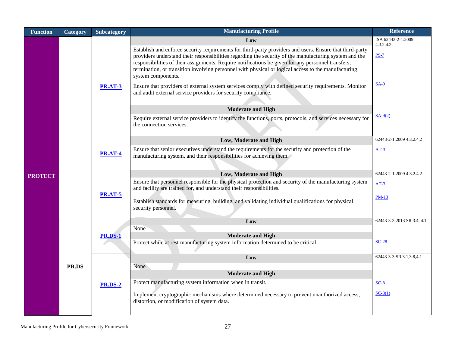| <b>Function</b> | Category | Subcategory                                                                                                                                                                                                                                                                                                                                                                                                                         | <b>Manufacturing Profile</b>                                                                                                                                                                                                                                                                                                                                                                                                                          | <b>Reference</b>                |  |  |  |  |
|-----------------|----------|-------------------------------------------------------------------------------------------------------------------------------------------------------------------------------------------------------------------------------------------------------------------------------------------------------------------------------------------------------------------------------------------------------------------------------------|-------------------------------------------------------------------------------------------------------------------------------------------------------------------------------------------------------------------------------------------------------------------------------------------------------------------------------------------------------------------------------------------------------------------------------------------------------|---------------------------------|--|--|--|--|
|                 |          |                                                                                                                                                                                                                                                                                                                                                                                                                                     | Low                                                                                                                                                                                                                                                                                                                                                                                                                                                   | ISA 62443-2-1:2009<br>4.3.2.4.2 |  |  |  |  |
|                 |          |                                                                                                                                                                                                                                                                                                                                                                                                                                     | Establish and enforce security requirements for third-party providers and users. Ensure that third-party<br>providers understand their responsibilities regarding the security of the manufacturing system and the<br>responsibilities of their assignments. Require notifications be given for any personnel transfers,<br>termination, or transition involving personnel with physical or logical access to the manufacturing<br>system components. | $PS-7$                          |  |  |  |  |
|                 |          | <b>PR.AT-3</b>                                                                                                                                                                                                                                                                                                                                                                                                                      | Ensure that providers of external system services comply with defined security requirements. Monitor<br>and audit external service providers for security compliance.                                                                                                                                                                                                                                                                                 | $SA-9$                          |  |  |  |  |
|                 |          |                                                                                                                                                                                                                                                                                                                                                                                                                                     | <b>Moderate and High</b>                                                                                                                                                                                                                                                                                                                                                                                                                              |                                 |  |  |  |  |
|                 |          |                                                                                                                                                                                                                                                                                                                                                                                                                                     | Require external service providers to identify the functions, ports, protocols, and services necessary for<br>the connection services.                                                                                                                                                                                                                                                                                                                | $SA-9(2)$                       |  |  |  |  |
|                 |          |                                                                                                                                                                                                                                                                                                                                                                                                                                     | Low, Moderate and High                                                                                                                                                                                                                                                                                                                                                                                                                                | 62443-2-1:2009 4.3.2.4.2        |  |  |  |  |
|                 |          | <b>PR.AT-4</b>                                                                                                                                                                                                                                                                                                                                                                                                                      | Ensure that senior executives understand the requirements for the security and protection of the<br>manufacturing system, and their responsibilities for achieving them.                                                                                                                                                                                                                                                                              | $AT-3$                          |  |  |  |  |
| <b>PROTECT</b>  |          |                                                                                                                                                                                                                                                                                                                                                                                                                                     | Low, Moderate and High                                                                                                                                                                                                                                                                                                                                                                                                                                | 62443-2-1:2009 4.3.2.4.2        |  |  |  |  |
|                 |          |                                                                                                                                                                                                                                                                                                                                                                                                                                     | Ensure that personnel responsible for the physical protection and security of the manufacturing system<br>and facility are trained for, and understand their responsibilities.                                                                                                                                                                                                                                                                        | $AT-3$                          |  |  |  |  |
|                 |          |                                                                                                                                                                                                                                                                                                                                                                                                                                     | Establish standards for measuring, building, and validating individual qualifications for physical<br>security personnel.                                                                                                                                                                                                                                                                                                                             | $PM-13$                         |  |  |  |  |
|                 |          |                                                                                                                                                                                                                                                                                                                                                                                                                                     | Low                                                                                                                                                                                                                                                                                                                                                                                                                                                   |                                 |  |  |  |  |
|                 |          |                                                                                                                                                                                                                                                                                                                                                                                                                                     |                                                                                                                                                                                                                                                                                                                                                                                                                                                       |                                 |  |  |  |  |
|                 |          | <b>PR.AT-5</b><br>None<br><b>Moderate and High</b><br><b>PR.DS-1</b><br>Protect while at rest manufacturing system information determined to be critical.<br>Low<br>None<br><b>Moderate and High</b><br>Protect manufacturing system information when in transit.<br><b>PR.DS-2</b><br>Implement cryptographic mechanisms where determined necessary to prevent unauthorized access,<br>distortion, or modification of system data. |                                                                                                                                                                                                                                                                                                                                                                                                                                                       |                                 |  |  |  |  |
|                 |          |                                                                                                                                                                                                                                                                                                                                                                                                                                     |                                                                                                                                                                                                                                                                                                                                                                                                                                                       |                                 |  |  |  |  |
|                 |          |                                                                                                                                                                                                                                                                                                                                                                                                                                     |                                                                                                                                                                                                                                                                                                                                                                                                                                                       | 62443-3-3:SR 3.1,3.8,4.1        |  |  |  |  |
|                 | PR.DS    |                                                                                                                                                                                                                                                                                                                                                                                                                                     |                                                                                                                                                                                                                                                                                                                                                                                                                                                       |                                 |  |  |  |  |
|                 |          |                                                                                                                                                                                                                                                                                                                                                                                                                                     |                                                                                                                                                                                                                                                                                                                                                                                                                                                       |                                 |  |  |  |  |
|                 |          |                                                                                                                                                                                                                                                                                                                                                                                                                                     |                                                                                                                                                                                                                                                                                                                                                                                                                                                       | $SC-8$                          |  |  |  |  |
|                 |          |                                                                                                                                                                                                                                                                                                                                                                                                                                     |                                                                                                                                                                                                                                                                                                                                                                                                                                                       | $SC-8(1)$                       |  |  |  |  |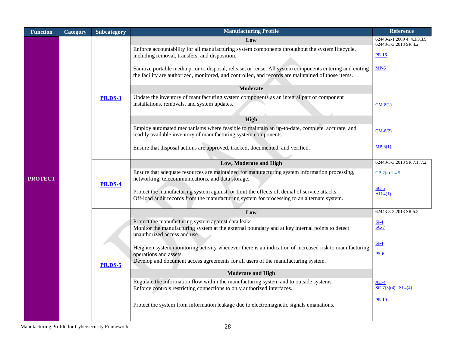| <b>Function</b> | <b>Category</b> | Subcategory    | <b>Manufacturing Profile</b>                                                                                                                                                                                                                                                                                                                                               | <b>Reference</b>                                                              |
|-----------------|-----------------|----------------|----------------------------------------------------------------------------------------------------------------------------------------------------------------------------------------------------------------------------------------------------------------------------------------------------------------------------------------------------------------------------|-------------------------------------------------------------------------------|
|                 |                 |                | Low<br>Enforce accountability for all manufacturing system components throughout the system lifecycle,<br>including removal, transfers, and disposition.<br>Sanitize portable media prior to disposal, release, or reuse. All system components entering and exiting<br>the facility are authorized, monitored, and controlled, and records are maintained of those items. | 62443-2-1:2009 4.4.3.3.3.9<br>62443-3-3:2013 SR 4.2<br><b>PE-16</b><br>$MP-6$ |
|                 |                 | <b>PR.DS-3</b> | <b>Moderate</b><br>Update the inventory of manufacturing system components as an integral part of component<br>installations, removals, and system updates.                                                                                                                                                                                                                | $CM-8(1)$                                                                     |
|                 |                 |                | High<br>Employ automated mechanisms where feasible to maintain an up-to-date, complete, accurate, and<br>readily available inventory of manufacturing system components.<br>Ensure that disposal actions are approved, tracked, documented, and verified.                                                                                                                  | $CM-8(2)$<br>$MP-6(1)$                                                        |
|                 |                 |                | Low, Moderate and High                                                                                                                                                                                                                                                                                                                                                     | 62443-3-3:2013 SR 7.1, 7.2                                                    |
| <b>PROTECT</b>  |                 | <b>PR.DS-4</b> | Ensure that adequate resources are maintained for manufacturing system information processing,<br>networking, telecommunications, and data storage.<br>Protect the manufacturing system against, or limit the effects of, denial of service attacks.<br>Off-load audit records from the manufacturing system for processing to an alternate system.                        | $CP-2(a)$ .1.4.5<br>$SC-5$<br>$AU-4(1)$                                       |
|                 |                 |                | Low                                                                                                                                                                                                                                                                                                                                                                        | 62443-3-3:2013 SR 5.2                                                         |
|                 |                 |                | Protect the manufacturing system against data leaks.<br>Monitor the manufacturing system at the external boundary and at key internal points to detect<br>unauthorized access and use.<br>Heighten system monitoring activity whenever there is an indication of increased risk to manufacturing                                                                           | $SI-4$<br>$SC-7$<br>SL <sub>4</sub>                                           |
|                 |                 | <b>PR.DS-5</b> | operations and assets.<br>Develop and document access agreements for all users of the manufacturing system.<br><b>Moderate and High</b>                                                                                                                                                                                                                                    | $PS-6$                                                                        |
|                 |                 |                | Regulate the information flow within the manufacturing system and to outside systems.                                                                                                                                                                                                                                                                                      | $AC-4$                                                                        |
|                 |                 |                | Enforce controls restricting connections to only authorized interfaces.                                                                                                                                                                                                                                                                                                    | $SC-7(3)(4)$ $SI-4(4)$                                                        |
|                 |                 |                | Protect the system from information leakage due to electromagnetic signals emanations.                                                                                                                                                                                                                                                                                     | <b>PE-19</b>                                                                  |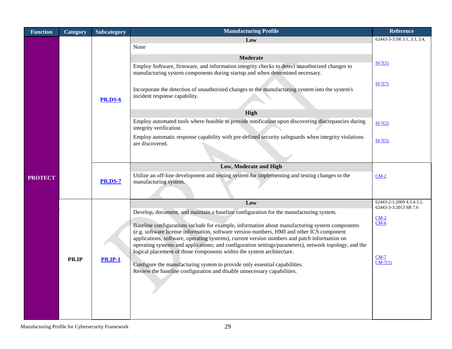| <b>Function</b> | Category | <b>Subcategory</b> | <b>Manufacturing Profile</b>                                                                                                                                                                                                                                                                                                                                                                                                                                                                                                                                                                                                                                                                                                     | <b>Reference</b>                                   |  |  |  |  |
|-----------------|----------|--------------------|----------------------------------------------------------------------------------------------------------------------------------------------------------------------------------------------------------------------------------------------------------------------------------------------------------------------------------------------------------------------------------------------------------------------------------------------------------------------------------------------------------------------------------------------------------------------------------------------------------------------------------------------------------------------------------------------------------------------------------|----------------------------------------------------|--|--|--|--|
|                 |          |                    | Low<br>None                                                                                                                                                                                                                                                                                                                                                                                                                                                                                                                                                                                                                                                                                                                      | 62443-3-3:SR 3.1, 3.3, 3.4,                        |  |  |  |  |
| <b>PROTECT</b>  |          | <b>PR.DS-6</b>     | <b>Moderate</b><br>Employ Software, firmware, and information integrity checks to detect unauthorized changes to<br>manufacturing system components during startup and when determined necessary.<br>Incorporate the detection of unauthorized changes to the manufacturing system into the system's<br>incident response capability.<br>High<br>Employ automated tools where feasible to provide notification upon discovering discrepancies during<br>integrity verification.<br>Employ automatic response capability with pre-defined security safeguards when integrity violations<br>are discovered.                                                                                                                        | $SI-7(1)$<br>$SI-7(7)$<br>$SI-7(2)$<br>$SI-7(5)$   |  |  |  |  |
|                 |          | <b>PR.DS-7</b>     | Low, Moderate and High                                                                                                                                                                                                                                                                                                                                                                                                                                                                                                                                                                                                                                                                                                           |                                                    |  |  |  |  |
|                 |          |                    | Utilize an off-line development and testing system for implementing and testing changes to the<br>manufacturing system.                                                                                                                                                                                                                                                                                                                                                                                                                                                                                                                                                                                                          | $CM-2$                                             |  |  |  |  |
|                 |          |                    | Low                                                                                                                                                                                                                                                                                                                                                                                                                                                                                                                                                                                                                                                                                                                              | 62443-2-1:2009 4.3.4.3.2,<br>62443-3-3:2013 SR 7.6 |  |  |  |  |
|                 | PR.IP    | <b>PR.IP-1</b>     | Develop, document, and maintain a baseline configuration for the manufacturing system.<br>Baseline configurations include for example, information about manufacturing system components<br>(e.g. software license information, software version numbers, HMI and other ICS component<br>applications, software, operating systems), current version numbers and patch information on<br>operating systems and applications; and configuration settings/parameters), network topology, and the<br>logical placement of those components within the system architecture.<br>Configure the manufacturing system to provide only essential capabilities.<br>Review the baseline configuration and disable unnecessary capabilities. | $CM-2$<br>$CM-6$<br>$CM-7$<br>$CM-7(1)$            |  |  |  |  |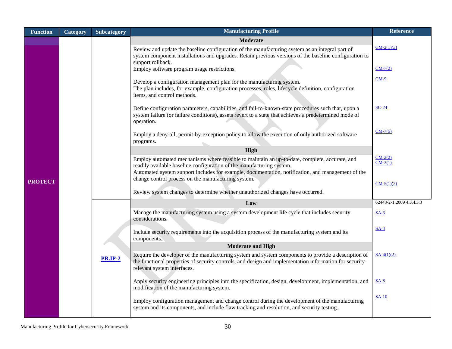| <b>Function</b> | <b>Category</b> | Subcategory                                                                                                   | <b>Manufacturing Profile</b>                                                                                                                                                                                                                  | <b>Reference</b>       |
|-----------------|-----------------|---------------------------------------------------------------------------------------------------------------|-----------------------------------------------------------------------------------------------------------------------------------------------------------------------------------------------------------------------------------------------|------------------------|
|                 |                 |                                                                                                               | Moderate                                                                                                                                                                                                                                      |                        |
|                 |                 |                                                                                                               | Review and update the baseline configuration of the manufacturing system as an integral part of                                                                                                                                               | $CM-2(1)(3)$           |
|                 |                 |                                                                                                               | system component installations and upgrades. Retain previous versions of the baseline configuration to                                                                                                                                        |                        |
|                 |                 |                                                                                                               | support rollback.<br>Employ software program usage restrictions.                                                                                                                                                                              | $CM-7(2)$              |
|                 |                 |                                                                                                               |                                                                                                                                                                                                                                               | $CM-9$                 |
|                 |                 |                                                                                                               | Develop a configuration management plan for the manufacturing system.<br>The plan includes, for example, configuration processes, roles, lifecycle definition, configuration                                                                  |                        |
|                 |                 |                                                                                                               | items, and control methods.                                                                                                                                                                                                                   |                        |
|                 |                 |                                                                                                               | Define configuration parameters, capabilities, and fail-to-known-state procedures such that, upon a<br>system failure (or failure conditions), assets revert to a state that achieves a predetermined mode of<br>operation.                   | $SC-24$                |
|                 |                 |                                                                                                               |                                                                                                                                                                                                                                               | $CM-7(5)$              |
|                 |                 | Employ a deny-all, permit-by-exception policy to allow the execution of only authorized software<br>programs. |                                                                                                                                                                                                                                               |                        |
|                 |                 |                                                                                                               | High                                                                                                                                                                                                                                          |                        |
|                 |                 |                                                                                                               | Employ automated mechanisms where feasible to maintain an up-to-date, complete, accurate, and                                                                                                                                                 | $CM-2(2)$<br>$CM-3(1)$ |
|                 |                 |                                                                                                               | readily available baseline configuration of the manufacturing system.<br>Automated system support includes for example, documentation, notification, and management of the                                                                    |                        |
| <b>PROTECT</b>  |                 |                                                                                                               | change control process on the manufacturing system.                                                                                                                                                                                           |                        |
|                 |                 |                                                                                                               | Review system changes to determine whether unauthorized changes have occurred.                                                                                                                                                                | $CM-5(1)(2)$           |
|                 |                 |                                                                                                               |                                                                                                                                                                                                                                               |                        |
|                 |                 | Low                                                                                                           | 62443-2-1:2009 4.3.4.3.3                                                                                                                                                                                                                      |                        |
|                 |                 |                                                                                                               | Manage the manufacturing system using a system development life cycle that includes security<br>considerations.                                                                                                                               | $SA-3$                 |
|                 |                 |                                                                                                               | Include security requirements into the acquisition process of the manufacturing system and its<br>components.                                                                                                                                 | $SA-4$                 |
|                 |                 |                                                                                                               | <b>Moderate and High</b>                                                                                                                                                                                                                      |                        |
|                 |                 | <b>PR.IP-2</b>                                                                                                | Require the developer of the manufacturing system and system components to provide a description of<br>the functional properties of security controls, and design and implementation information for security-<br>relevant system interfaces. | $SA-4(1)(2)$           |
|                 |                 |                                                                                                               | Apply security engineering principles into the specification, design, development, implementation, and<br>modification of the manufacturing system.                                                                                           | $SA-8$                 |
|                 |                 |                                                                                                               | Employ configuration management and change control during the development of the manufacturing<br>system and its components, and include flaw tracking and resolution, and security testing.                                                  | <b>SA-10</b>           |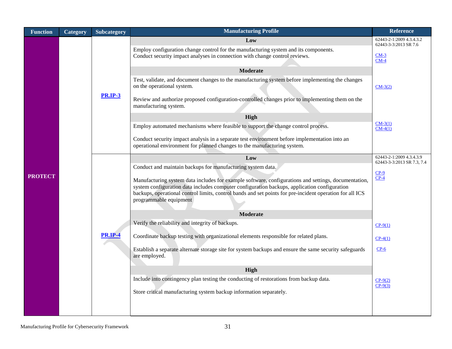| <b>Function</b> | Category | <b>Subcategory</b>                                                                                                                                                                                                                                                                                                                                                                                               | <b>Manufacturing Profile</b>                                                                                                                                                                                                                                                                                                                                                                                                                                                                                                                             | <b>Reference</b>                                                           |
|-----------------|----------|------------------------------------------------------------------------------------------------------------------------------------------------------------------------------------------------------------------------------------------------------------------------------------------------------------------------------------------------------------------------------------------------------------------|----------------------------------------------------------------------------------------------------------------------------------------------------------------------------------------------------------------------------------------------------------------------------------------------------------------------------------------------------------------------------------------------------------------------------------------------------------------------------------------------------------------------------------------------------------|----------------------------------------------------------------------------|
| <b>PROTECT</b>  |          |                                                                                                                                                                                                                                                                                                                                                                                                                  | Low<br>Employ configuration change control for the manufacturing system and its components.<br>Conduct security impact analyses in connection with change control reviews.                                                                                                                                                                                                                                                                                                                                                                               | 62443-2-1:2009 4.3.4.3.2<br>62443-3-3:2013 SR 7.6<br>$CM-3$<br>$CM-4$      |
|                 |          | <b>PR.IP-3</b>                                                                                                                                                                                                                                                                                                                                                                                                   | <b>Moderate</b><br>Test, validate, and document changes to the manufacturing system before implementing the changes<br>on the operational system.<br>Review and authorize proposed configuration-controlled changes prior to implementing them on the<br>manufacturing system.<br>High<br>Employ automated mechanisms where feasible to support the change control process.<br>Conduct security impact analysis in a separate test environment before implementation into an<br>operational environment for planned changes to the manufacturing system. | $CM-3(2)$<br>$CM-3(1)$<br>$CM-4(1)$                                        |
|                 |          | Low<br>Conduct and maintain backups for manufacturing system data.<br>Manufacturing system data includes for example software, configurations and settings, documentation,<br>system configuration data includes computer configuration backups, application configuration<br>backups, operational control limits, control bands and set points for pre-incident operation for all ICS<br>programmable equipment |                                                                                                                                                                                                                                                                                                                                                                                                                                                                                                                                                          | 62443-2-1:2009 4.3.4.3.9<br>62443-3-3:2013 SR 7.3, 7.4<br>$CP-9$<br>$CP-4$ |
|                 |          |                                                                                                                                                                                                                                                                                                                                                                                                                  | <b>Moderate</b><br>Verify the reliability and integrity of backups.                                                                                                                                                                                                                                                                                                                                                                                                                                                                                      |                                                                            |
|                 |          | <b>PR.IP-4</b>                                                                                                                                                                                                                                                                                                                                                                                                   | Coordinate backup testing with organizational elements responsible for related plans.                                                                                                                                                                                                                                                                                                                                                                                                                                                                    | $CP-9(1)$                                                                  |
|                 |          |                                                                                                                                                                                                                                                                                                                                                                                                                  | Establish a separate alternate storage site for system backups and ensure the same security safeguards<br>are employed.                                                                                                                                                                                                                                                                                                                                                                                                                                  | $CP-4(1)$<br>$CP-6$                                                        |
|                 |          |                                                                                                                                                                                                                                                                                                                                                                                                                  | High                                                                                                                                                                                                                                                                                                                                                                                                                                                                                                                                                     |                                                                            |
|                 |          |                                                                                                                                                                                                                                                                                                                                                                                                                  | Include into contingency plan testing the conducting of restorations from backup data.<br>Store critical manufacturing system backup information separately.                                                                                                                                                                                                                                                                                                                                                                                             | $CP-9(2)$<br>$CP-9(3)$                                                     |
|                 |          |                                                                                                                                                                                                                                                                                                                                                                                                                  |                                                                                                                                                                                                                                                                                                                                                                                                                                                                                                                                                          |                                                                            |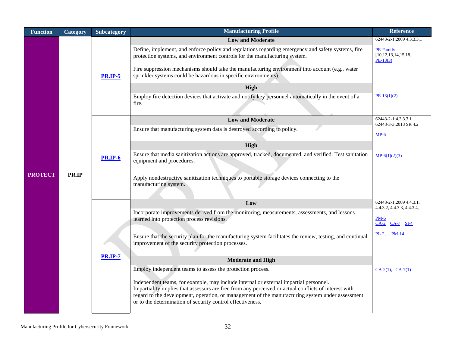| <b>Function</b> | <b>Category</b> | Subcategory    | <b>Manufacturing Profile</b>                                                                                                                                                                                                                                                                                                                                    | <b>Reference</b>                                           |
|-----------------|-----------------|----------------|-----------------------------------------------------------------------------------------------------------------------------------------------------------------------------------------------------------------------------------------------------------------------------------------------------------------------------------------------------------------|------------------------------------------------------------|
|                 |                 |                | <b>Low and Moderate</b>                                                                                                                                                                                                                                                                                                                                         | 62443-2-1:2009 4.3.3.3.1                                   |
|                 |                 | <b>PR.IP-5</b> | Define, implement, and enforce policy and regulations regarding emergency and safety systems, fire<br>protection systems, and environment controls for the manufacturing system.<br>Fire suppression mechanisms should take the manufacturing environment into account (e.g., water<br>sprinkler systems could be hazardous in specific environments).          | <b>PE-Family</b><br>[10, 12, 13, 14, 15, 18]<br>$PE-13(3)$ |
|                 |                 |                | High                                                                                                                                                                                                                                                                                                                                                            |                                                            |
|                 |                 |                | Employ fire detection devices that activate and notify key personnel automatically in the event of a                                                                                                                                                                                                                                                            | $PE-13(1)(2)$                                              |
|                 |                 |                | fire.                                                                                                                                                                                                                                                                                                                                                           |                                                            |
|                 |                 |                | <b>Low and Moderate</b>                                                                                                                                                                                                                                                                                                                                         | 62443-2-1:4.3.3.3.1<br>62443-3-3:2013 SR 4.2               |
|                 |                 |                | Ensure that manufacturing system data is destroyed according to policy.                                                                                                                                                                                                                                                                                         | $MP-6$                                                     |
|                 |                 |                | High                                                                                                                                                                                                                                                                                                                                                            |                                                            |
|                 |                 | <b>PR.IP-6</b> | Ensure that media sanitization actions are approved, tracked, documented, and verified. Test sanitation<br>equipment and procedures.                                                                                                                                                                                                                            | $MP-6(1)(2)(3)$                                            |
| <b>PROTECT</b>  | PR.IP           |                | Apply nondestructive sanitization techniques to portable storage devices connecting to the<br>manufacturing system.                                                                                                                                                                                                                                             |                                                            |
|                 |                 |                | Low                                                                                                                                                                                                                                                                                                                                                             | 62443-2-1:2009 4.4.3.1,<br>4.4.3.2, 4.4.3.3, 4.4.3.4,      |
|                 |                 | <b>PR.IP-7</b> | Incorporate improvements derived from the monitoring, measurements, assessments, and lessons<br>learned into protection process revisions.                                                                                                                                                                                                                      | $PM-6$<br>CA-2 CA-7 SI-4                                   |
|                 |                 |                | Ensure that the security plan for the manufacturing system facilitates the review, testing, and continual<br>improvement of the security protection processes.                                                                                                                                                                                                  | $PM-14$<br>$PL-2$                                          |
|                 |                 |                | <b>Moderate and High</b>                                                                                                                                                                                                                                                                                                                                        |                                                            |
|                 |                 |                | Employ independent teams to assess the protection process.                                                                                                                                                                                                                                                                                                      | $CA-2(1)$ , $CA-7(1)$                                      |
|                 |                 |                | Independent teams, for example, may include internal or external impartial personnel.<br>Impartiality implies that assessors are free from any perceived or actual conflicts of interest with<br>regard to the development, operation, or management of the manufacturing system under assessment<br>or to the determination of security control effectiveness. |                                                            |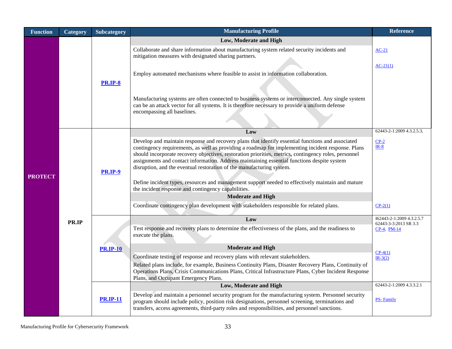| <b>Function</b> | Category     | Subcategory     | <b>Manufacturing Profile</b>                                                                                                                                                                                                                                                                                                                                                                                                                                                             | <b>Reference</b>                                   |
|-----------------|--------------|-----------------|------------------------------------------------------------------------------------------------------------------------------------------------------------------------------------------------------------------------------------------------------------------------------------------------------------------------------------------------------------------------------------------------------------------------------------------------------------------------------------------|----------------------------------------------------|
|                 |              |                 | Low, Moderate and High                                                                                                                                                                                                                                                                                                                                                                                                                                                                   |                                                    |
|                 |              |                 | Collaborate and share information about manufacturing system related security incidents and<br>mitigation measures with designated sharing partners.                                                                                                                                                                                                                                                                                                                                     | $AC-21$                                            |
|                 |              |                 |                                                                                                                                                                                                                                                                                                                                                                                                                                                                                          | $AC-21(1)$                                         |
|                 |              |                 | Employ automated mechanisms where feasible to assist in information collaboration.                                                                                                                                                                                                                                                                                                                                                                                                       |                                                    |
|                 |              | <b>PR.IP-8</b>  | Manufacturing systems are often connected to business systems or interconnected. Any single system                                                                                                                                                                                                                                                                                                                                                                                       |                                                    |
|                 |              |                 | can be an attack vector for all systems. It is therefore necessary to provide a uniform defense<br>encompassing all baselines.                                                                                                                                                                                                                                                                                                                                                           |                                                    |
|                 |              |                 |                                                                                                                                                                                                                                                                                                                                                                                                                                                                                          | 62443-2-1:2009 4.3.2.5.3,                          |
|                 |              |                 | Low                                                                                                                                                                                                                                                                                                                                                                                                                                                                                      |                                                    |
| <b>PROTECT</b>  |              | <b>PR.IP-9</b>  | Develop and maintain response and recovery plans that identify essential functions and associated<br>contingency requirements, as well as providing a roadmap for implementing incident response. Plans<br>should incorporate recovery objectives, restoration priorities, metrics, contingency roles, personnel<br>assignments and contact information. Address maintaining essential functions despite system<br>disruption, and the eventual restoration of the manufacturing system. | $CP-2$<br>$IR-8$                                   |
|                 |              |                 | Define incident types, resources and management support needed to effectively maintain and mature                                                                                                                                                                                                                                                                                                                                                                                        |                                                    |
|                 |              |                 | the incident response and contingency capabilities.                                                                                                                                                                                                                                                                                                                                                                                                                                      |                                                    |
|                 |              |                 | <b>Moderate and High</b>                                                                                                                                                                                                                                                                                                                                                                                                                                                                 |                                                    |
|                 | <b>PR.IP</b> |                 | Coordinate contingency plan development with stakeholders responsible for related plans.                                                                                                                                                                                                                                                                                                                                                                                                 | $CP-2(1)$                                          |
|                 |              |                 | Low                                                                                                                                                                                                                                                                                                                                                                                                                                                                                      | I62443-2-1:2009 4.3.2.5.7<br>62443-3-3:2013 SR 3.3 |
|                 |              |                 | Test response and recovery plans to determine the effectiveness of the plans, and the readiness to<br>execute the plans.                                                                                                                                                                                                                                                                                                                                                                 | CP-4, PM-14                                        |
|                 |              | <b>PR.IP-10</b> | <b>Moderate and High</b>                                                                                                                                                                                                                                                                                                                                                                                                                                                                 |                                                    |
|                 |              |                 | Coordinate testing of response and recovery plans with relevant stakeholders.                                                                                                                                                                                                                                                                                                                                                                                                            | $CP-4(1)$<br>$IR-3(2)$                             |
|                 |              |                 | Related plans include, for example, Business Continuity Plans, Disaster Recovery Plans, Continuity of<br>Operations Plans, Crisis Communications Plans, Critical Infrastructure Plans, Cyber Incident Response<br>Plans, and Occupant Emergency Plans.                                                                                                                                                                                                                                   |                                                    |
|                 |              |                 | Low, Moderate and High                                                                                                                                                                                                                                                                                                                                                                                                                                                                   | 62443-2-1:2009 4.3.3.2.1                           |
|                 |              | <b>PR.IP-11</b> | Develop and maintain a personnel security program for the manufacturing system. Personnel security<br>program should include policy, position risk designations, personnel screening, terminations and<br>transfers, access agreements, third-party roles and responsibilities, and personnel sanctions.                                                                                                                                                                                 | <b>PS-Family</b>                                   |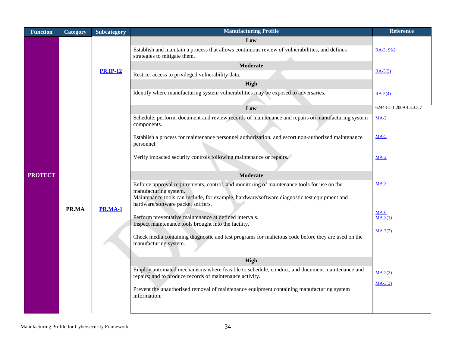| <b>Function</b> | Category | Subcategory             | <b>Manufacturing Profile</b>                                                                                                                                                                                                                             | <b>Reference</b>         |
|-----------------|----------|-------------------------|----------------------------------------------------------------------------------------------------------------------------------------------------------------------------------------------------------------------------------------------------------|--------------------------|
|                 |          |                         | Low<br>Establish and maintain a process that allows continuous review of vulnerabilities, and defines                                                                                                                                                    | $RA-3$ , $SI-2$          |
|                 |          |                         | strategies to mitigate them.<br><b>Moderate</b>                                                                                                                                                                                                          |                          |
|                 |          | <b>PR.IP-12</b>         | Restrict access to privileged vulnerability data.                                                                                                                                                                                                        | $RA-5(5)$                |
|                 |          |                         | High                                                                                                                                                                                                                                                     |                          |
|                 |          |                         | Identify where manufacturing system vulnerabilities may be exposed to adversaries.                                                                                                                                                                       | $RA-5(4)$                |
|                 |          |                         | Low                                                                                                                                                                                                                                                      | 62443-2-1:2009 4.3.3.3.7 |
|                 |          |                         | Schedule, perform, document and review records of maintenance and repairs on manufacturing system<br>components.                                                                                                                                         | $MA-2$                   |
| <b>PROTECT</b>  |          | PR.MA<br><b>PR.MA-1</b> | Establish a process for maintenance personnel authorization, and escort non-authorized maintenance<br>personnel.                                                                                                                                         | $MA-5$                   |
|                 |          |                         | Verify impacted security controls following maintenance or repairs.                                                                                                                                                                                      | $MA-2$                   |
|                 |          |                         | <b>Moderate</b>                                                                                                                                                                                                                                          |                          |
|                 |          |                         | Enforce approval requirements, control, and monitoring of maintenance tools for use on the<br>manufacturing system.<br>Maintenance tools can include, for example, hardware/software diagnostic test equipment and<br>hardware/software packet sniffers. | $MA-3$                   |
|                 |          |                         | Perform preventative maintenance at defined intervals.                                                                                                                                                                                                   | $MA-6$<br>$MA-3(1)$      |
|                 |          |                         | Inspect maintenance tools brought into the facility.                                                                                                                                                                                                     |                          |
|                 |          |                         | Check media containing diagnostic and test programs for malicious code before they are used on the<br>manufacturing system.                                                                                                                              | $MA-3(2)$                |
|                 |          |                         | High                                                                                                                                                                                                                                                     |                          |
|                 |          |                         | Employ automated mechanisms where feasible to schedule, conduct, and document maintenance and<br>repairs; and to produce records of maintenance activity.                                                                                                | $MA-2(2)$                |
|                 |          |                         | Prevent the unauthorized removal of maintenance equipment containing manufacturing system<br>information.                                                                                                                                                | $MA-3(3)$                |
|                 |          |                         |                                                                                                                                                                                                                                                          |                          |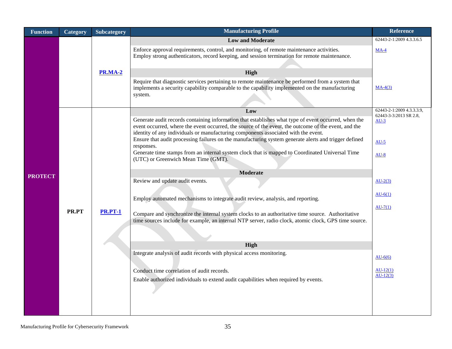| <b>Function</b> | Category | <b>Subcategory</b> | <b>Manufacturing Profile</b>                                                                                                                                                                                                                                                                                                                                                                                | <b>Reference</b>                 |
|-----------------|----------|--------------------|-------------------------------------------------------------------------------------------------------------------------------------------------------------------------------------------------------------------------------------------------------------------------------------------------------------------------------------------------------------------------------------------------------------|----------------------------------|
|                 |          |                    | <b>Low and Moderate</b>                                                                                                                                                                                                                                                                                                                                                                                     | 62443-2-1:2009 4.3.3.6.5         |
|                 |          |                    | Enforce approval requirements, control, and monitoring, of remote maintenance activities.<br>Employ strong authenticators, record keeping, and session termination for remote maintenance.                                                                                                                                                                                                                  | $MA-4$                           |
|                 |          | <b>PR.MA-2</b>     | High                                                                                                                                                                                                                                                                                                                                                                                                        |                                  |
|                 |          |                    | Require that diagnostic services pertaining to remote maintenance be performed from a system that<br>implements a security capability comparable to the capability implemented on the manufacturing<br>system.                                                                                                                                                                                              | $MA-4(3)$                        |
|                 |          |                    | Low                                                                                                                                                                                                                                                                                                                                                                                                         | 62443-2-1:2009 4.3.3.3.9,        |
|                 |          |                    | Generate audit records containing information that establishes what type of event occurred, when the<br>event occurred, where the event occurred, the source of the event, the outcome of the event, and the<br>identity of any individuals or manufacturing components associated with the event.<br>Ensure that audit processing failures on the manufacturing system generate alerts and trigger defined | 62443-3-3:2013 SR 2.8,<br>$AU-3$ |
|                 |          | <b>PR.PT-1</b>     | responses.<br>Generate time stamps from an internal system clock that is mapped to Coordinated Universal Time<br>(UTC) or Greenwich Mean Time (GMT).                                                                                                                                                                                                                                                        | $AU-5$<br>$AU-8$                 |
| <b>PROTECT</b>  |          |                    | <b>Moderate</b>                                                                                                                                                                                                                                                                                                                                                                                             |                                  |
|                 |          |                    | Review and update audit events.                                                                                                                                                                                                                                                                                                                                                                             | $AU-2(3)$                        |
|                 | PR.PT    |                    | Employ automated mechanisms to integrate audit review, analysis, and reporting.                                                                                                                                                                                                                                                                                                                             | $AU-6(1)$                        |
|                 |          |                    | Compare and synchronize the internal system clocks to an authoritative time source. Authoritative<br>time sources include for example, an internal NTP server, radio clock, atomic clock, GPS time source.                                                                                                                                                                                                  | $AU-7(1)$                        |
|                 |          |                    |                                                                                                                                                                                                                                                                                                                                                                                                             |                                  |
|                 |          |                    | High                                                                                                                                                                                                                                                                                                                                                                                                        |                                  |
|                 |          |                    | Integrate analysis of audit records with physical access monitoring.                                                                                                                                                                                                                                                                                                                                        | $AU-6(6)$                        |
|                 |          |                    | Conduct time correlation of audit records.                                                                                                                                                                                                                                                                                                                                                                  | $AU-12(1)$                       |
|                 |          |                    | Enable authorized individuals to extend audit capabilities when required by events.                                                                                                                                                                                                                                                                                                                         | $AU-12(3)$                       |
|                 |          |                    |                                                                                                                                                                                                                                                                                                                                                                                                             |                                  |
|                 |          |                    |                                                                                                                                                                                                                                                                                                                                                                                                             |                                  |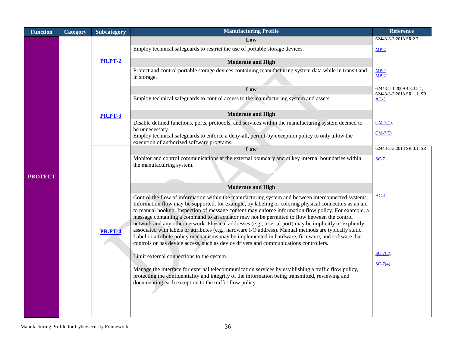| <b>Function</b> | Category | Subcategory    | <b>Manufacturing Profile</b>                                                                                                                                                                                                                                                                                                                                                                                                                                                                                                                                                                                                                                                                                                                                                                                                           | <b>Reference</b>                                       |
|-----------------|----------|----------------|----------------------------------------------------------------------------------------------------------------------------------------------------------------------------------------------------------------------------------------------------------------------------------------------------------------------------------------------------------------------------------------------------------------------------------------------------------------------------------------------------------------------------------------------------------------------------------------------------------------------------------------------------------------------------------------------------------------------------------------------------------------------------------------------------------------------------------------|--------------------------------------------------------|
|                 |          |                | Low                                                                                                                                                                                                                                                                                                                                                                                                                                                                                                                                                                                                                                                                                                                                                                                                                                    | 62443-3-3:2013 SR 2.3                                  |
|                 |          |                | Employ technical safeguards to restrict the use of portable storage devices.                                                                                                                                                                                                                                                                                                                                                                                                                                                                                                                                                                                                                                                                                                                                                           | $MP-2$                                                 |
|                 |          | <b>PR.PT-2</b> | <b>Moderate and High</b>                                                                                                                                                                                                                                                                                                                                                                                                                                                                                                                                                                                                                                                                                                                                                                                                               |                                                        |
|                 |          |                | Protect and control portable storage devices containing manufacturing system data while in transit and<br>in storage.                                                                                                                                                                                                                                                                                                                                                                                                                                                                                                                                                                                                                                                                                                                  | $MP-4$<br>$MP-7$                                       |
|                 |          |                | Low                                                                                                                                                                                                                                                                                                                                                                                                                                                                                                                                                                                                                                                                                                                                                                                                                                    | 62443-2-1:2009 4.3.3.5.1,<br>62443-3-3:2013 SR 1.1, SR |
|                 |          |                | Employ technical safeguards to control access to the manufacturing system and assets.                                                                                                                                                                                                                                                                                                                                                                                                                                                                                                                                                                                                                                                                                                                                                  | $AC-3$                                                 |
|                 |          | <b>PR.PT-3</b> | <b>Moderate and High</b>                                                                                                                                                                                                                                                                                                                                                                                                                                                                                                                                                                                                                                                                                                                                                                                                               |                                                        |
|                 |          |                | Disable defined functions, ports, protocols, and services within the manufacturing system deemed to                                                                                                                                                                                                                                                                                                                                                                                                                                                                                                                                                                                                                                                                                                                                    | $CM-7(1)$ ,                                            |
|                 |          |                | be unnecessary.<br>Employ technical safeguards to enforce a deny-all, permit-by-exception policy to only allow the<br>execution of authorized software programs.                                                                                                                                                                                                                                                                                                                                                                                                                                                                                                                                                                                                                                                                       | $CM-7(5)$                                              |
|                 |          | <b>PR.PT-4</b> | Low                                                                                                                                                                                                                                                                                                                                                                                                                                                                                                                                                                                                                                                                                                                                                                                                                                    | 62443-3-3:2013 SR 3.1, SR                              |
| <b>PROTECT</b>  |          |                | Monitor and control communications at the external boundary and at key internal boundaries within<br>the manufacturing system.                                                                                                                                                                                                                                                                                                                                                                                                                                                                                                                                                                                                                                                                                                         | $SC-7$                                                 |
|                 |          |                | <b>Moderate and High</b>                                                                                                                                                                                                                                                                                                                                                                                                                                                                                                                                                                                                                                                                                                                                                                                                               |                                                        |
|                 |          |                | Control the flow of information within the manufacturing system and between interconnected systems.<br>Information flow may be supported, for example, by labeling or coloring physical connectors as an aid<br>to manual hookup. Inspection of message content may enforce information flow policy. For example, a<br>message containing a command to an actuator may not be permitted to flow between the control<br>network and any other network. Physical addresses (e.g., a serial port) may be implicitly or explicitly<br>associated with labels or attributes (e.g., hardware I/O address). Manual methods are typically static.<br>Label or attribute policy mechanisms may be implemented in hardware, firmware, and software that<br>controls or has device access, such as device drivers and communications controllers. | $AC-4$                                                 |
|                 |          |                | Limit external connections to the system.                                                                                                                                                                                                                                                                                                                                                                                                                                                                                                                                                                                                                                                                                                                                                                                              | $SC-7(3)$ ,                                            |
|                 |          |                | Manage the interface for external telecommunication services by establishing a traffic flow policy,<br>protecting the confidentiality and integrity of the information being transmitted, reviewing and<br>documenting each exception to the traffic flow policy.                                                                                                                                                                                                                                                                                                                                                                                                                                                                                                                                                                      | $SC-7(4)$                                              |
|                 |          |                |                                                                                                                                                                                                                                                                                                                                                                                                                                                                                                                                                                                                                                                                                                                                                                                                                                        |                                                        |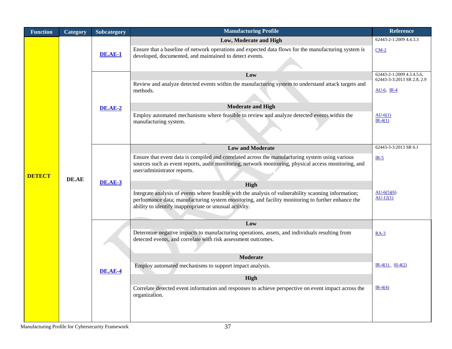| <b>Function</b> | Category | Subcategory    | <b>Manufacturing Profile</b>                                                                                                                                                                                                                                        | <b>Reference</b>                            |
|-----------------|----------|----------------|---------------------------------------------------------------------------------------------------------------------------------------------------------------------------------------------------------------------------------------------------------------------|---------------------------------------------|
|                 |          |                | Low, Moderate and High                                                                                                                                                                                                                                              | 62443-2-1:2009 4.4.3.3                      |
|                 |          | <b>DE.AE-1</b> | Ensure that a baseline of network operations and expected data flows for the manufacturing system is<br>developed, documented, and maintained to detect events.                                                                                                     | $CM-2$                                      |
|                 |          |                | Low                                                                                                                                                                                                                                                                 | 62443-2-1:2009 4.3.4.5.6,                   |
|                 |          |                | Review and analyze detected events within the manufacturing system to understand attack targets and<br>methods.                                                                                                                                                     | 62443-3-3:2013 SR 2.8, 2.9<br>$AU-6$ , IR-4 |
|                 |          | <b>DE.AE-2</b> | <b>Moderate and High</b>                                                                                                                                                                                                                                            |                                             |
|                 |          |                | Employ automated mechanisms where feasible to review and analyze detected events within the<br>manufacturing system.                                                                                                                                                | $AU-6(1)$<br>$IR-4(1)$                      |
|                 |          |                | <b>Low and Moderate</b>                                                                                                                                                                                                                                             | 62443-3-3:2013 SR 6.1                       |
| <b>DETECT</b>   | DE.AE    |                | Ensure that event data is compiled and correlated across the manufacturing system using various<br>sources such as event reports, audit monitoring, network monitoring, physical access monitoring, and<br>user/administrator reports.                              | $IR-5$                                      |
|                 |          | <b>DE.AE-3</b> | High                                                                                                                                                                                                                                                                |                                             |
|                 |          |                | Integrate analysis of events where feasible with the analysis of vulnerability scanning information;<br>performance data; manufacturing system monitoring, and facility monitoring to further enhance the<br>ability to identify inappropriate or unusual activity. | $AU-6(5)(6)$<br>$AU-12(1)$                  |
|                 |          |                | Low                                                                                                                                                                                                                                                                 |                                             |
|                 |          |                | Determine negative impacts to manufacturing operations, assets, and individuals resulting from<br>detected events, and correlate with risk assessment outcomes.                                                                                                     | $RA-3$                                      |
|                 |          |                | <b>Moderate</b>                                                                                                                                                                                                                                                     |                                             |
|                 |          | DE.AE-4        | Employ automated mechanisms to support impact analysis.                                                                                                                                                                                                             | $IR-4(1)$ $SI-4(2)$                         |
|                 |          |                | High                                                                                                                                                                                                                                                                |                                             |
|                 |          |                | Correlate detected event information and responses to achieve perspective on event impact across the<br>organization.                                                                                                                                               | $IR-4(4)$                                   |
|                 |          |                |                                                                                                                                                                                                                                                                     |                                             |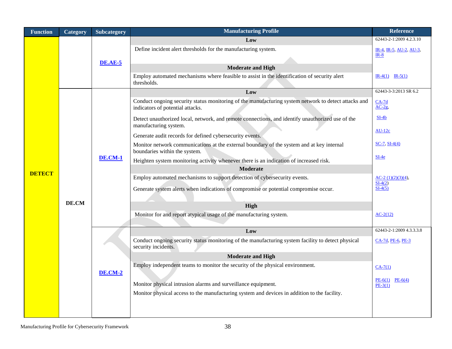| Low<br>Define incident alert thresholds for the manufacturing system.                                                                    | 62443-2-1:2009 4.2.3.10<br>IR-4, IR-5, AU-2, AU-3,<br>$IR-8$ |
|------------------------------------------------------------------------------------------------------------------------------------------|--------------------------------------------------------------|
|                                                                                                                                          |                                                              |
|                                                                                                                                          |                                                              |
| <b>DE.AE-5</b>                                                                                                                           |                                                              |
| <b>Moderate and High</b>                                                                                                                 |                                                              |
| Employ automated mechanisms where feasible to assist in the identification of security alert<br>thresholds.                              | $IR-4(1)$ $IR-5(1)$                                          |
| Low                                                                                                                                      | 62443-3-3:2013 SR 6.2                                        |
| Conduct ongoing security status monitoring of the manufacturing system network to detect attacks and<br>indicators of potential attacks. | $CA-7d$<br>$AC-2g$                                           |
| Detect unauthorized local, network, and remote connections, and identify unauthorized use of the<br>manufacturing system.                | $SI-4b$                                                      |
| Generate audit records for defined cybersecurity events.                                                                                 | $AU-12c$                                                     |
| Monitor network communications at the external boundary of the system and at key internal<br>boundaries within the system.               | $SC-7, SI-4(4)$                                              |
| <b>DE.CM-1</b><br>Heighten system monitoring activity whenever there is an indication of increased risk.                                 | $SI-4e$                                                      |
| <b>Moderate</b><br><b>DETECT</b>                                                                                                         |                                                              |
| Employ automated mechanisms to support detection of cybersecurity events.                                                                | $AC-2(1)(2)(3)(4),$<br>$SI-4(2)$                             |
| Generate system alerts when indications of compromise or potential compromise occur.                                                     | $SI-4(5)$                                                    |
| DE.CM<br>High                                                                                                                            |                                                              |
| Monitor for and report atypical usage of the manufacturing system.                                                                       | $AC-2(12)$                                                   |
|                                                                                                                                          |                                                              |
| Low                                                                                                                                      | 62443-2-1:2009 4.3.3.3.8                                     |
| Conduct ongoing security status monitoring of the manufacturing system facility to detect physical<br>security incidents.                | CA-7d, PE-6, PE-3                                            |
| <b>Moderate and High</b>                                                                                                                 |                                                              |
| Employ independent teams to monitor the security of the physical environment.<br><b>DE.CM-2</b>                                          | $CA-7(1)$                                                    |
| Monitor physical intrusion alarms and surveillance equipment.                                                                            | $PE-6(1)$ $PE-6(4)$<br>$PE-3(1)$                             |
| Monitor physical access to the manufacturing system and devices in addition to the facility.                                             |                                                              |
|                                                                                                                                          |                                                              |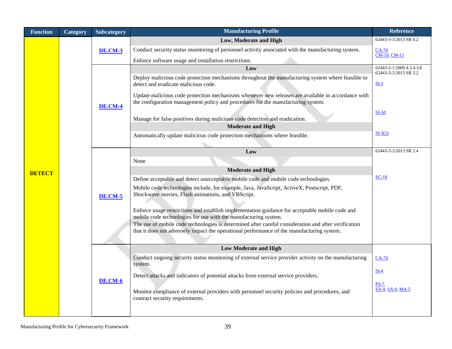| <b>Function</b> | Category | Subcategory    | <b>Manufacturing Profile</b>                                                                                                                                                                       | <b>Reference</b>                                  |
|-----------------|----------|----------------|----------------------------------------------------------------------------------------------------------------------------------------------------------------------------------------------------|---------------------------------------------------|
|                 |          |                | Low, Moderate and High                                                                                                                                                                             | 62443-3-3:2013 SR 6.2                             |
|                 |          | <b>DE.CM-3</b> | Conduct security status monitoring of personnel activity associated with the manufacturing system.                                                                                                 | $CA-7d$                                           |
|                 |          |                | Enforce software usage and installation restrictions.                                                                                                                                              | <b>CM-10, CM-11</b>                               |
|                 |          |                | Low                                                                                                                                                                                                | 62443-2-1:2009 4.3.4.3.8<br>62443-3-3:2013 SR 3.2 |
|                 |          |                | Deploy malicious code protection mechanisms throughout the manufacturing system where feasible to<br>detect and eradicate malicious code.                                                          | $SL-3$                                            |
|                 |          | <b>DE.CM-4</b> | Update malicious code protection mechanisms whenever new releases are available in accordance with<br>the configuration management policy and procedures for the manufacturing system.             |                                                   |
|                 |          |                | Manage for false positives during malicious code detection and eradication.                                                                                                                        | $SI-3d$                                           |
|                 |          |                | <b>Moderate and High</b>                                                                                                                                                                           | $SI-3(2)$                                         |
|                 |          |                | Automatically update malicious code protection mechanisms where feasible.                                                                                                                          |                                                   |
|                 |          |                | Low                                                                                                                                                                                                | 62443-3-3:2013 SR 2.4                             |
|                 |          |                | None                                                                                                                                                                                               |                                                   |
|                 |          | <b>DE.CM-5</b> | <b>Moderate and High</b>                                                                                                                                                                           |                                                   |
| <b>DETECT</b>   |          |                | Define acceptable and detect unacceptable mobile code and mobile code technologies.                                                                                                                | $SC-18$                                           |
|                 |          |                | Mobile code technologies include, for example, Java, JavaScript, ActiveX, Postscript, PDF,<br>Shockwave movies, Flash animations, and VBScript.                                                    |                                                   |
|                 |          |                | Enforce usage restrictions and establish implementation guidance for acceptable mobile code and<br>mobile code technologies for use with the manufacturing system.                                 |                                                   |
|                 |          |                | The use of mobile code technologies is determined after careful consideration and after verification<br>that it does not adversely impact the operational performance of the manufacturing system. |                                                   |
|                 |          |                | <b>Low Moderate and High</b>                                                                                                                                                                       |                                                   |
|                 |          |                | Conduct ongoing security status monitoring of external service provider activity on the manufacturing<br>system.                                                                                   | $CA-7d$                                           |
|                 |          | <b>DE.CM-6</b> | Detect attacks and indicators of potential attacks from external service providers.                                                                                                                | $SI-4$                                            |
|                 |          |                | Monitor compliance of external providers with personnel security policies and procedures, and<br>contract security requirements.                                                                   | $PS-7$ .<br>SA-4, SA-9, MA-5                      |
|                 |          |                |                                                                                                                                                                                                    |                                                   |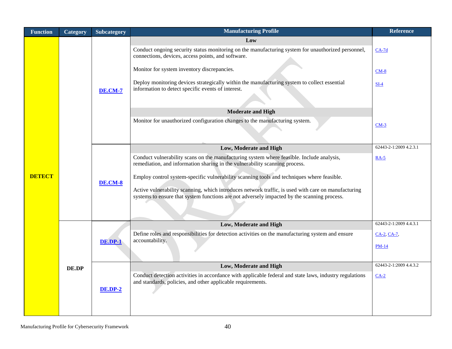| Category | Subcategory               | <b>Manufacturing Profile</b>                                                                                                                                                                                                                                                                                                                                                                                                                                                                           | <b>Reference</b>                                                                          |
|----------|---------------------------|--------------------------------------------------------------------------------------------------------------------------------------------------------------------------------------------------------------------------------------------------------------------------------------------------------------------------------------------------------------------------------------------------------------------------------------------------------------------------------------------------------|-------------------------------------------------------------------------------------------|
|          | <b>DE.CM-7</b>            | Low<br>Conduct ongoing security status monitoring on the manufacturing system for unauthorized personnel,<br>connections, devices, access points, and software.<br>Monitor for system inventory discrepancies.<br>Deploy monitoring devices strategically within the manufacturing system to collect essential<br>information to detect specific events of interest.<br><b>Moderate and High</b><br>Monitor for unauthorized configuration changes to the manufacturing system.                        | $CA-7d$<br>$CM-8$<br>$SI-4$<br>$CM-3$                                                     |
|          | <b>DE.CM-8</b>            | Low, Moderate and High<br>Conduct vulnerability scans on the manufacturing system where feasible. Include analysis,<br>remediation, and information sharing in the vulnerability scanning process.<br>Employ control system-specific vulnerability scanning tools and techniques where feasible.<br>Active vulnerability scanning, which introduces network traffic, is used with care on manufacturing<br>systems to ensure that system functions are not adversely impacted by the scanning process. | 62443-2-1:2009 4.2.3.1<br>$RA-5$                                                          |
| DE.DP    | DE.DP-1<br><b>DE.DP-2</b> | Low, Moderate and High<br>Define roles and responsibilities for detection activities on the manufacturing system and ensure<br>accountability.<br>Low, Moderate and High<br>Conduct detection activities in accordance with applicable federal and state laws, industry regulations<br>and standards, policies, and other applicable requirements.                                                                                                                                                     | 62443-2-1:2009 4.4.3.1<br>CA-2, CA-7,<br><b>PM-14</b><br>62443-2-1:2009 4.4.3.2<br>$CA-2$ |
|          |                           |                                                                                                                                                                                                                                                                                                                                                                                                                                                                                                        |                                                                                           |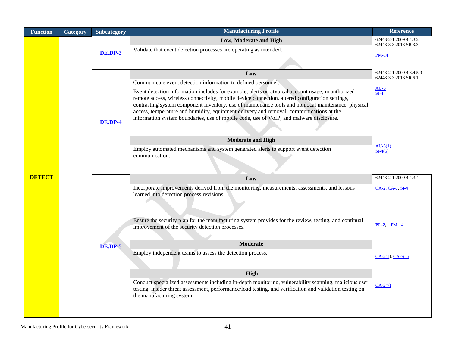| <b>Function</b> | Category | Subcategory    | <b>Manufacturing Profile</b>                                                                                                                                                                                                                                                                                                                                                                                                                                                                     | <b>Reference</b>                                  |
|-----------------|----------|----------------|--------------------------------------------------------------------------------------------------------------------------------------------------------------------------------------------------------------------------------------------------------------------------------------------------------------------------------------------------------------------------------------------------------------------------------------------------------------------------------------------------|---------------------------------------------------|
|                 |          |                | Low, Moderate and High                                                                                                                                                                                                                                                                                                                                                                                                                                                                           | 62443-2-1:2009 4.4.3.2<br>62443-3-3:2013 SR 3.3   |
|                 |          | <b>DE.DP-3</b> | Validate that event detection processes are operating as intended.                                                                                                                                                                                                                                                                                                                                                                                                                               |                                                   |
|                 |          |                |                                                                                                                                                                                                                                                                                                                                                                                                                                                                                                  | <b>PM-14</b>                                      |
|                 |          |                |                                                                                                                                                                                                                                                                                                                                                                                                                                                                                                  |                                                   |
|                 |          |                | Low                                                                                                                                                                                                                                                                                                                                                                                                                                                                                              | 62443-2-1:2009 4.3.4.5.9<br>62443-3-3:2013 SR 6.1 |
|                 |          |                | Communicate event detection information to defined personnel.                                                                                                                                                                                                                                                                                                                                                                                                                                    | $AU-6$                                            |
| <b>DETECT</b>   |          | <b>DE.DP-4</b> | Event detection information includes for example, alerts on atypical account usage, unauthorized<br>remote access, wireless connectivity, mobile device connection, altered configuration settings,<br>contrasting system component inventory, use of maintenance tools and nonlocal maintenance, physical<br>access, temperature and humidity, equipment delivery and removal, communications at the<br>information system boundaries, use of mobile code, use of VoIP, and malware disclosure. | SL <sub>4</sub>                                   |
|                 |          |                | <b>Moderate and High</b>                                                                                                                                                                                                                                                                                                                                                                                                                                                                         |                                                   |
|                 |          |                | Employ automated mechanisms and system generated alerts to support event detection<br>communication.                                                                                                                                                                                                                                                                                                                                                                                             | $AU-6(1)$<br>$SI-4(5)$                            |
|                 |          |                | Low                                                                                                                                                                                                                                                                                                                                                                                                                                                                                              | 62443-2-1:2009 4.4.3.4                            |
|                 |          |                | Incorporate improvements derived from the monitoring, measurements, assessments, and lessons<br>learned into detection process revisions.                                                                                                                                                                                                                                                                                                                                                        | CA-2, CA-7, SI-4                                  |
|                 |          |                |                                                                                                                                                                                                                                                                                                                                                                                                                                                                                                  |                                                   |
|                 |          |                | Ensure the security plan for the manufacturing system provides for the review, testing, and continual<br>improvement of the security detection processes.                                                                                                                                                                                                                                                                                                                                        | $PL-2$ , $PM-14$                                  |
|                 |          |                | <b>Moderate</b>                                                                                                                                                                                                                                                                                                                                                                                                                                                                                  |                                                   |
|                 |          | <b>DE.DP-5</b> | Employ independent teams to assess the detection process.                                                                                                                                                                                                                                                                                                                                                                                                                                        |                                                   |
|                 |          |                |                                                                                                                                                                                                                                                                                                                                                                                                                                                                                                  | $CA-2(1), CA-7(1)$                                |
|                 |          |                | High                                                                                                                                                                                                                                                                                                                                                                                                                                                                                             |                                                   |
|                 |          |                | Conduct specialized assessments including in-depth monitoring, vulnerability scanning, malicious user<br>testing, insider threat assessment, performance/load testing, and verification and validation testing on<br>the manufacturing system.                                                                                                                                                                                                                                                   | $CA-2(7)$                                         |
|                 |          |                |                                                                                                                                                                                                                                                                                                                                                                                                                                                                                                  |                                                   |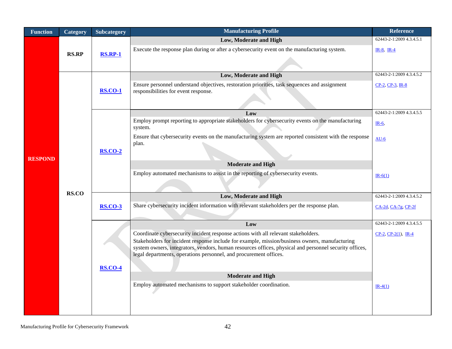| <b>Function</b> | Category     | Subcategory    | <b>Manufacturing Profile</b>                                                                                                                                                                             | <b>Reference</b>            |
|-----------------|--------------|----------------|----------------------------------------------------------------------------------------------------------------------------------------------------------------------------------------------------------|-----------------------------|
|                 |              |                | Low, Moderate and High                                                                                                                                                                                   | 62443-2-1:2009 4.3.4.5.1    |
|                 |              |                | Execute the response plan during or after a cybersecurity event on the manufacturing system.                                                                                                             | $IR-8$ , $IR-4$             |
|                 | <b>RS.RP</b> | <b>RS.RP-1</b> |                                                                                                                                                                                                          |                             |
|                 |              |                | Low, Moderate and High                                                                                                                                                                                   | 62443-2-1:2009 4.3.4.5.2    |
|                 |              | <b>RS.CO-1</b> | Ensure personnel understand objectives, restoration priorities, task sequences and assignment<br>responsibilities for event response.                                                                    | $CP-2$ , $CP-3$ , $IR-8$    |
|                 |              |                | Low                                                                                                                                                                                                      | 62443-2-1:2009 4.3.4.5.5    |
|                 |              |                | Employ prompt reporting to appropriate stakeholders for cybersecurity events on the manufacturing<br>system.                                                                                             | $IR-6$ ,                    |
| <b>RESPOND</b>  | RS.CO        | <b>RS.CO-2</b> | Ensure that cybersecurity events on the manufacturing system are reported consistent with the response<br>plan.                                                                                          | $AU-6$                      |
|                 |              |                |                                                                                                                                                                                                          |                             |
|                 |              |                | <b>Moderate and High</b>                                                                                                                                                                                 |                             |
|                 |              |                | Employ automated mechanisms to assist in the reporting of cybersecurity events.                                                                                                                          | $IR-6(1)$                   |
|                 |              |                |                                                                                                                                                                                                          |                             |
|                 |              |                | Low, Moderate and High                                                                                                                                                                                   | 62443-2-1:2009 4.3.4.5.2    |
|                 |              | <b>RS.CO-3</b> | Share cybersecurity incident information with relevant stakeholders per the response plan.                                                                                                               | CA-2d, CA-7g, CP-2f         |
|                 |              |                |                                                                                                                                                                                                          |                             |
|                 |              |                | Low                                                                                                                                                                                                      | 62443-2-1:2009 4.3.4.5.5    |
|                 |              |                | Coordinate cybersecurity incident response actions with all relevant stakeholders.                                                                                                                       | $CP-2$ , $CP-2(1)$ , $IR-4$ |
|                 |              |                | Stakeholders for incident response include for example, mission/business owners, manufacturing<br>system owners, integrators, vendors, human resources offices, physical and personnel security offices, |                             |
|                 |              |                | legal departments, operations personnel, and procurement offices.                                                                                                                                        |                             |
|                 |              | <b>RS.CO-4</b> |                                                                                                                                                                                                          |                             |
|                 |              |                | <b>Moderate and High</b>                                                                                                                                                                                 |                             |
|                 |              |                | Employ automated mechanisms to support stakeholder coordination.                                                                                                                                         | $IR-4(1)$                   |
|                 |              |                |                                                                                                                                                                                                          |                             |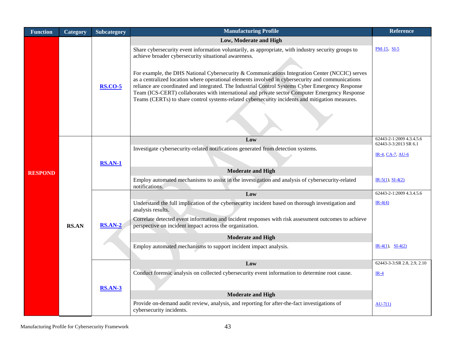| <b>Function</b> | Category     | Subcategory                | <b>Manufacturing Profile</b>                                                                                                                                                                                                                                                                                                                                                                                                                                                                                 | <b>Reference</b>                                 |
|-----------------|--------------|----------------------------|--------------------------------------------------------------------------------------------------------------------------------------------------------------------------------------------------------------------------------------------------------------------------------------------------------------------------------------------------------------------------------------------------------------------------------------------------------------------------------------------------------------|--------------------------------------------------|
|                 |              |                            | Low, Moderate and High                                                                                                                                                                                                                                                                                                                                                                                                                                                                                       |                                                  |
|                 |              | <b>RS.CO-5</b>             | Share cybersecurity event information voluntarily, as appropriate, with industry security groups to<br>achieve broader cybersecurity situational awareness.                                                                                                                                                                                                                                                                                                                                                  | $PM-15$ , SI-5                                   |
|                 |              |                            | For example, the DHS National Cybersecurity & Communications Integration Center (NCCIC) serves<br>as a centralized location where operational elements involved in cybersecurity and communications<br>reliance are coordinated and integrated. The Industrial Control Systems Cyber Emergency Response<br>Team (ICS-CERT) collaborates with international and private sector Computer Emergency Response<br>Teams (CERTs) to share control systems-related cybersecurity incidents and mitigation measures. |                                                  |
|                 |              | <b>RS.AN-1</b><br>$RSAN-2$ | Low                                                                                                                                                                                                                                                                                                                                                                                                                                                                                                          | 62443-2-1:2009 4.3.4.5.6                         |
|                 |              |                            | Investigate cybersecurity-related notifications generated from detection systems.                                                                                                                                                                                                                                                                                                                                                                                                                            | 62443-3-3:2013 SR 6.1<br><b>IR-4, CA-7, AU-6</b> |
| <b>RESPOND</b>  |              |                            | <b>Moderate and High</b>                                                                                                                                                                                                                                                                                                                                                                                                                                                                                     |                                                  |
|                 |              |                            | Employ automated mechanisms to assist in the investigation and analysis of cybersecurity-related<br>notifications.                                                                                                                                                                                                                                                                                                                                                                                           | $IR-5(1), SI-4(2)$                               |
|                 |              |                            | Low                                                                                                                                                                                                                                                                                                                                                                                                                                                                                                          | 62443-2-1:2009 4.3.4.5.6                         |
|                 |              |                            | Understand the full implication of the cybersecurity incident based on thorough investigation and<br>analysis results.                                                                                                                                                                                                                                                                                                                                                                                       | $IR-4(4)$                                        |
|                 | <b>RS.AN</b> |                            | Correlate detected event information and incident responses with risk assessment outcomes to achieve<br>perspective on incident impact across the organization.                                                                                                                                                                                                                                                                                                                                              |                                                  |
|                 |              |                            | <b>Moderate and High</b>                                                                                                                                                                                                                                                                                                                                                                                                                                                                                     |                                                  |
|                 |              |                            | Employ automated mechanisms to support incident impact analysis.                                                                                                                                                                                                                                                                                                                                                                                                                                             | $IR-4(1)$ , $SI-4(2)$                            |
|                 |              |                            | Low                                                                                                                                                                                                                                                                                                                                                                                                                                                                                                          | 62443-3-3:SR 2.8, 2.9, 2.10                      |
|                 |              | <b>RS.AN-3</b>             | Conduct forensic analysis on collected cybersecurity event information to determine root cause.                                                                                                                                                                                                                                                                                                                                                                                                              | $IR-4$                                           |
|                 |              |                            | <b>Moderate and High</b>                                                                                                                                                                                                                                                                                                                                                                                                                                                                                     |                                                  |
|                 |              |                            | Provide on-demand audit review, analysis, and reporting for after-the-fact investigations of<br>cybersecurity incidents.                                                                                                                                                                                                                                                                                                                                                                                     | $AU-7(1)$                                        |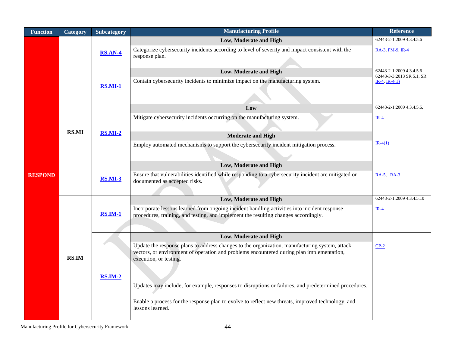| <b>Function</b> | Category     | <b>Subcategory</b> | <b>Manufacturing Profile</b>                                                                                                                                                                | <b>Reference</b>                             |
|-----------------|--------------|--------------------|---------------------------------------------------------------------------------------------------------------------------------------------------------------------------------------------|----------------------------------------------|
|                 |              |                    | Low, Moderate and High                                                                                                                                                                      | 62443-2-1:2009 4.3.4.5.6                     |
|                 |              | <b>RS.AN-4</b>     | Categorize cybersecurity incidents according to level of severity and impact consistent with the                                                                                            | RA-3, PM-9, IR-4                             |
|                 |              |                    | response plan.                                                                                                                                                                              |                                              |
|                 |              |                    | Low, Moderate and High                                                                                                                                                                      | 62443-2-1:2009 4.3.4.5.6                     |
|                 |              |                    | Contain cybersecurity incidents to minimize impact on the manufacturing system.                                                                                                             | 62443-3-3:2013 SR 5.1, SR<br>$IR-4, IR-4(1)$ |
|                 |              | <b>RS.MI-1</b>     |                                                                                                                                                                                             |                                              |
|                 |              |                    |                                                                                                                                                                                             |                                              |
|                 |              |                    | Low                                                                                                                                                                                         | 62443-2-1:2009 4.3.4.5.6,                    |
|                 |              |                    | Mitigate cybersecurity incidents occurring on the manufacturing system.                                                                                                                     | $IR-4$                                       |
|                 | <b>RS.MI</b> |                    |                                                                                                                                                                                             |                                              |
|                 |              | <b>RS.MI-2</b>     | <b>Moderate and High</b>                                                                                                                                                                    |                                              |
|                 |              |                    | Employ automated mechanisms to support the cybersecurity incident mitigation process.                                                                                                       | $IR-4(1)$                                    |
|                 |              |                    |                                                                                                                                                                                             |                                              |
|                 |              | <b>RS.MI-3</b>     | Low, Moderate and High                                                                                                                                                                      |                                              |
| <b>RESPOND</b>  |              |                    | Ensure that vulnerabilities identified while responding to a cybersecurity incident are mitigated or                                                                                        | $RA-5$ , $RA-3$                              |
|                 |              |                    | documented as accepted risks.                                                                                                                                                               |                                              |
|                 |              |                    |                                                                                                                                                                                             |                                              |
|                 | <b>RS.IM</b> | <b>RS.IM-1</b>     | Low, Moderate and High                                                                                                                                                                      | 62443-2-1:2009 4.3.4.5.10                    |
|                 |              |                    | Incorporate lessons learned from ongoing incident handling activities into incident response<br>procedures, training, and testing, and implement the resulting changes accordingly.         | $IR-4$                                       |
|                 |              |                    |                                                                                                                                                                                             |                                              |
|                 |              |                    |                                                                                                                                                                                             |                                              |
|                 |              | $RSIM-2$           | Low, Moderate and High                                                                                                                                                                      |                                              |
|                 |              |                    | Update the response plans to address changes to the organization, manufacturing system, attack<br>vectors, or environment of operation and problems encountered during plan implementation, | $CP-2$                                       |
|                 |              |                    | execution, or testing.                                                                                                                                                                      |                                              |
|                 |              |                    |                                                                                                                                                                                             |                                              |
|                 |              |                    |                                                                                                                                                                                             |                                              |
|                 |              |                    | Updates may include, for example, responses to disruptions or failures, and predetermined procedures.                                                                                       |                                              |
|                 |              |                    | Enable a process for the response plan to evolve to reflect new threats, improved technology, and                                                                                           |                                              |
|                 |              |                    | lessons learned.                                                                                                                                                                            |                                              |
|                 |              |                    |                                                                                                                                                                                             |                                              |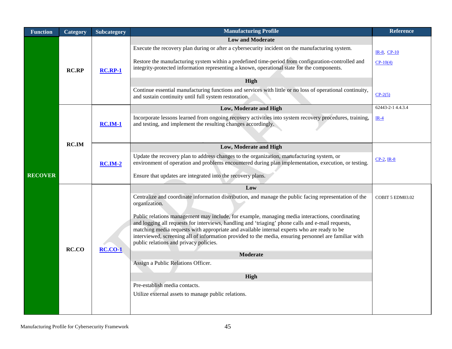| <b>Function</b> | Category     | Subcategory    | <b>Manufacturing Profile</b>                                                                                                                                                                                                                                                                                                                                                                                                                                                                                                                                                                                                                                                                                                                      | <b>Reference</b>                       |
|-----------------|--------------|----------------|---------------------------------------------------------------------------------------------------------------------------------------------------------------------------------------------------------------------------------------------------------------------------------------------------------------------------------------------------------------------------------------------------------------------------------------------------------------------------------------------------------------------------------------------------------------------------------------------------------------------------------------------------------------------------------------------------------------------------------------------------|----------------------------------------|
| <b>RECOVER</b>  | <b>RC.RP</b> | <b>RC.RP-1</b> | <b>Low and Moderate</b><br>Execute the recovery plan during or after a cybersecurity incident on the manufacturing system.<br>Restore the manufacturing system within a predefined time-period from configuration-controlled and<br>integrity-protected information representing a known, operational state for the components.<br>High<br>Continue essential manufacturing functions and services with little or no loss of operational continuity,<br>and sustain continuity until full system restoration.                                                                                                                                                                                                                                     | IR-8, CP-10<br>$CP-10(4)$<br>$CP-2(5)$ |
|                 | <b>RC.IM</b> | $RC.M-1$       | Low, Moderate and High<br>Incorporate lessons learned from ongoing recovery activities into system recovery procedures, training,<br>and testing, and implement the resulting changes accordingly.                                                                                                                                                                                                                                                                                                                                                                                                                                                                                                                                                | 62443-2-1 4.4.3.4<br>$IR-4$            |
|                 |              | $RC.IM-2$      | Low, Moderate and High<br>Update the recovery plan to address changes to the organization, manufacturing system, or<br>environment of operation and problems encountered during plan implementation, execution, or testing.<br>Ensure that updates are integrated into the recovery plans.                                                                                                                                                                                                                                                                                                                                                                                                                                                        | $CP-2$ , IR-8                          |
|                 | RC.CO        | <b>RC.CO-1</b> | Low<br>Centralize and coordinate information distribution, and manage the public facing representation of the<br>organization.<br>Public relations management may include, for example, managing media interactions, coordinating<br>and logging all requests for interviews, handling and 'triaging' phone calls and e-mail requests,<br>matching media requests with appropriate and available internal experts who are ready to be<br>interviewed, screening all of information provided to the media, ensuring personnel are familiar with<br>public relations and privacy policies.<br><b>Moderate</b><br>Assign a Public Relations Officer.<br>High<br>Pre-establish media contacts.<br>Utilize external assets to manage public relations. | COBIT 5 EDM03.02                       |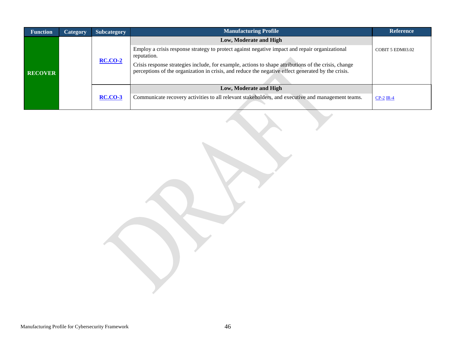| <b>Function</b> | <b>Category</b> | <b>Subcategory</b> | <b>Manufacturing Profile</b>                                                                                                                                                                               | <b>Reference</b> |
|-----------------|-----------------|--------------------|------------------------------------------------------------------------------------------------------------------------------------------------------------------------------------------------------------|------------------|
| <b>RECOVER</b>  |                 | <b>RC.CO-2</b>     | Low, Moderate and High                                                                                                                                                                                     |                  |
|                 |                 |                    | Employ a crisis response strategy to protect against negative impact and repair organizational<br>reputation.                                                                                              | COBIT 5 EDM03.02 |
|                 |                 |                    | Crisis response strategies include, for example, actions to shape attributions of the crisis, change<br>perceptions of the organization in crisis, and reduce the negative effect generated by the crisis. |                  |
|                 |                 |                    | Low, Moderate and High                                                                                                                                                                                     |                  |
|                 |                 | <b>RC.CO-3</b>     | Communicate recovery activities to all relevant stakeholders, and executive and management teams.                                                                                                          | $CP-2$ IR-4      |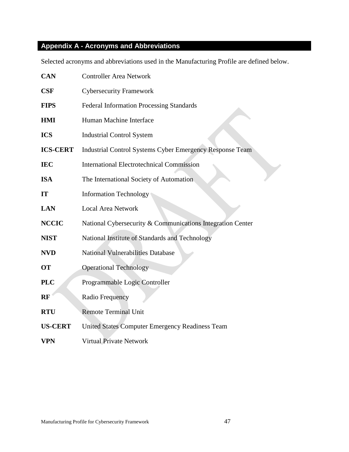### <span id="page-47-0"></span>**Appendix A - Acronyms and Abbreviations**

Selected acronyms and abbreviations used in the Manufacturing Profile are defined below.

| <b>CAN</b>      | <b>Controller Area Network</b>                                  |
|-----------------|-----------------------------------------------------------------|
| CSF             | <b>Cybersecurity Framework</b>                                  |
| <b>FIPS</b>     | <b>Federal Information Processing Standards</b>                 |
| <b>HMI</b>      | Human Machine Interface                                         |
| <b>ICS</b>      | <b>Industrial Control System</b>                                |
| <b>ICS-CERT</b> | <b>Industrial Control Systems Cyber Emergency Response Team</b> |
| <b>IEC</b>      | <b>International Electrotechnical Commission</b>                |
| <b>ISA</b>      | The International Society of Automation                         |
| IT              | <b>Information Technology</b>                                   |
| <b>LAN</b>      | <b>Local Area Network</b>                                       |
| <b>NCCIC</b>    | National Cybersecurity & Communications Integration Center      |
| <b>NIST</b>     | National Institute of Standards and Technology                  |
| <b>NVD</b>      | <b>National Vulnerabilities Database</b>                        |
| <b>OT</b>       | <b>Operational Technology</b>                                   |
| <b>PLC</b>      | Programmable Logic Controller                                   |
| <b>RF</b>       | Radio Frequency                                                 |
| <b>RTU</b>      | <b>Remote Terminal Unit</b>                                     |
| <b>US-CERT</b>  | <b>United States Computer Emergency Readiness Team</b>          |
| VPN             | <b>Virtual Private Network</b>                                  |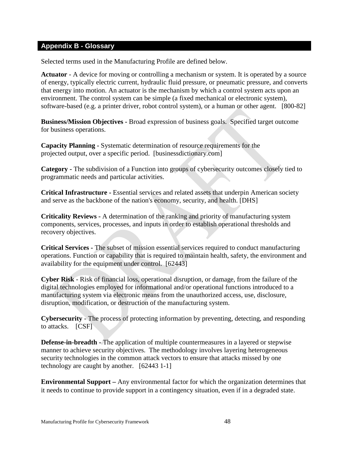#### <span id="page-48-0"></span>**Appendix B - Glossary**

Selected terms used in the Manufacturing Profile are defined below.

**Actuator** - A device for moving or controlling a mechanism or system. It is operated by a source of energy, typically electric current, hydraulic fluid pressure, or pneumatic pressure, and converts that energy into motion. An actuator is the mechanism by which a control system acts upon an environment. The control system can be simple (a fixed mechanical or electronic system), software-based (e.g. a printer driver, robot control system), or a human or other agent. [800-82]

**Business/Mission Objectives -** Broad expression of business goals. Specified target outcome for business operations.

**Capacity Planning -** [Systematic](http://www.businessdictionary.com/definition/systematic.html) determination of [resource](http://www.businessdictionary.com/definition/resource.html) [requirements](http://www.businessdictionary.com/definition/requirements.html) for the projected [output,](http://www.businessdictionary.com/definition/output.html) over a specific [period.](http://www.businessdictionary.com/definition/period.html) [\[businessdictionary.com\]](http://www.businessdictionary.com/definition/capacity-planning.html#ixzz4DYadBmMP) 

**Category -** The subdivision of a Function into groups of cybersecurity outcomes closely tied to programmatic needs and particular activities.

**Critical Infrastructure -** Essential services and related assets that underpin American society and serve as the backbone of the nation's economy, security, and health. [DHS]

**Criticality Reviews -** A determination of the ranking and priority of manufacturing system components, services, processes, and inputs in order to establish operational thresholds and recovery objectives.

**Critical Services -** The subset of mission essential services required to conduct manufacturing operations. Function or capability that is required to maintain health, safety, the environment and availability for the equipment under control. [62443]

**Cyber Risk** - Risk of financial loss, operational disruption, or damage, from the failure of the digital technologies employed for informational and/or operational functions introduced to a manufacturing system via electronic means from the unauthorized access, use, disclosure, disruption, modification, or destruction of the manufacturing system.

**Cybersecurity** - The process of protecting information by preventing, detecting, and responding to attacks. [CSF]

**Defense-in-breadth -** The application of multiple countermeasures in a layered or stepwise manner to achieve security objectives. The methodology involves layering heterogeneous security technologies in the common attack vectors to ensure that attacks missed by one technology are caught by another. [62443 1-1]

**Environmental Support –** Any environmental factor for which the organization determines that it needs to continue to provide support in a contingency situation, even if in a degraded state.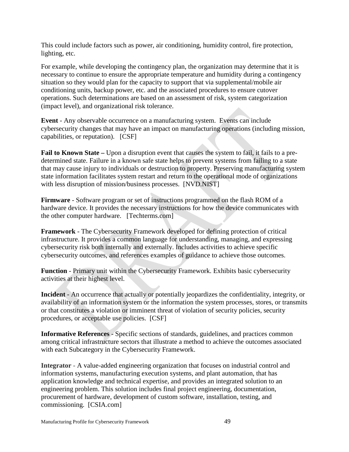This could include factors such as power, air conditioning, humidity control, fire protection, lighting, etc.

For example, while developing the contingency plan, the organization may determine that it is necessary to continue to ensure the appropriate temperature and humidity during a contingency situation so they would plan for the capacity to support that via supplemental/mobile air conditioning units, backup power, etc. and the associated procedures to ensure cutover operations. Such determinations are based on an assessment of risk, system categorization (impact level), and organizational risk tolerance.

**Event** - Any observable occurrence on a manufacturing system. Events can include cybersecurity changes that may have an impact on manufacturing operations (including mission, capabilities, or reputation). [CSF]

**Fail to Known State –** Upon a disruption event that causes the system to fail, it fails to a predetermined state. Failure in a known safe state helps to prevent systems from failing to a state that may cause injury to individuals or destruction to property. Preserving manufacturing system state information facilitates system restart and return to the operational mode of organizations with less disruption of mission/business processes. [NVD.NIST]

**Firmware** - Software program or set of instructions programmed on the flash ROM of a hardware device. It provides the necessary instructions for how the device communicates with the other computer hardware. [Techterms.com]

**Framework** - The Cybersecurity Framework developed for defining protection of critical infrastructure. It provides a common language for understanding, managing, and expressing cybersecurity risk both internally and externally. Includes activities to achieve specific cybersecurity outcomes, and references examples of guidance to achieve those outcomes.

**Function** - Primary unit within the Cybersecurity Framework. Exhibits basic cybersecurity activities at their highest level.

**Incident** - An occurrence that actually or potentially jeopardizes the confidentiality, integrity, or availability of an information system or the information the system processes, stores, or transmits or that constitutes a violation or imminent threat of violation of security policies, security procedures, or acceptable use policies. [CSF]

**Informative References** - Specific sections of standards, guidelines, and practices common among critical infrastructure sectors that illustrate a method to achieve the outcomes associated with each Subcategory in the Cybersecurity Framework.

**Integrator** - A value-added engineering organization that focuses on industrial control and information systems, manufacturing execution systems, and plant automation, that has application knowledge and technical expertise, and provides an integrated solution to an engineering problem. This solution includes final project engineering, documentation, procurement of hardware, development of custom software, installation, testing, and commissioning. [CSIA.com]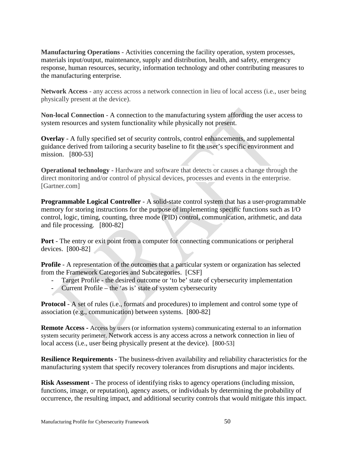**Manufacturing Operations -** Activities concerning the facility operation, system processes, materials input/output, maintenance, [supply](https://en.wikipedia.org/wiki/Supply_(economics)) and [distribution,](https://en.wikipedia.org/wiki/Distribution_(business)) [health,](https://en.wikipedia.org/wiki/Health) and [safety,](https://en.wikipedia.org/wiki/Safety) emergency response, [human resources,](https://en.wikipedia.org/wiki/Human_resources) [security,](https://en.wikipedia.org/wiki/Security) [information technology](https://en.wikipedia.org/wiki/Information_technology) and other contributing measures to the manufacturing enterprise.

**Network Access** - any access across a network connection in lieu of local access (i.e., user being physically present at the device).

**Non-local Connection -** A connection to the manufacturing system affording the user access to system resources and system functionality while physically not present.

**Overlay** - A fully specified set of security controls, control enhancements, and supplemental guidance derived from tailoring a security baseline to fit the user's specific environment and mission. [800-53]

**Operational technology -** Hardware and software that detects or causes a change through the direct monitoring and/or control of physical devices, processes and events in the enterprise. [Gartner.com]

**Programmable Logical Controller** - A solid-state control system that has a user-programmable memory for storing instructions for the purpose of implementing specific functions such as I/O control, logic, timing, counting, three mode (PID) control, communication, arithmetic, and data and file processing. [800-82]

**Port** - The entry or exit point from a computer for connecting communications or peripheral devices. [800-82]

**Profile** - A representation of the outcomes that a particular system or organization has selected from the Framework Categories and Subcategories. [CSF]

- Target Profile the desired outcome or 'to be' state of cybersecurity implementation
- Current Profile the 'as is' state of system cybersecurity

**Protocol** - A set of rules (i.e., formats and procedures) to implement and control some type of association (e.g., communication) between systems. [800-82]

**Remote Access -** Access by users (or information systems) communicating external to an information system security perimeter. Network access is any access across a network connection in lieu of local access (i.e., user being physically present at the device). [800-53]

**Resilience Requirements -** The business-driven availability and reliability characteristics for the manufacturing system that specify recovery tolerances from disruptions and major incidents.

**Risk Assessment** - The process of identifying risks to agency operations (including mission, functions, image, or reputation), agency assets, or individuals by determining the probability of occurrence, the resulting impact, and additional security controls that would mitigate this impact.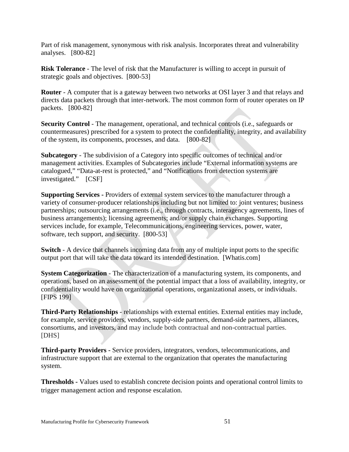Part of risk management, synonymous with risk analysis. Incorporates threat and vulnerability analyses. [800-82]

**Risk Tolerance** - The level of risk that the Manufacturer is willing to accept in pursuit of strategic goals and objectives. [800-53]

**Router** - A computer that is a gateway between two networks at OSI layer 3 and that relays and directs data packets through that inter-network. The most common form of router operates on IP packets. [800-82]

**Security Control** - The management, operational, and technical controls (i.e., safeguards or countermeasures) prescribed for a system to protect the confidentiality, integrity, and availability of the system, its components, processes, and data. [800-82]

**Subcategory** - The subdivision of a Category into specific outcomes of technical and/or management activities. Examples of Subcategories include "External information systems are catalogued," "Data-at-rest is protected," and "Notifications from detection systems are investigated." [CSF]

**Supporting Services -** Providers of external system services to the manufacturer through a variety of consumer-producer relationships including but not limited to: joint ventures; business partnerships; outsourcing arrangements (i.e., through contracts, interagency agreements, lines of business arrangements); licensing agreements; and/or supply chain exchanges. Supporting services include, for example, Telecommunications, engineering services, power, water, software, tech support, and security. [800-53]

**Switch** - A device that channels incoming data from any of multiple input ports to the specific output port that will take the data toward its intended destination. [Whatis.com]

**System Categorization** - The characterization of a manufacturing system, its components, and operations, based on an assessment of the potential impact that a loss of availability, integrity, or confidentiality would have on organizational operations, organizational assets, or individuals. [FIPS 199]

**Third-Party Relationships** - relationships with external entities. External entities may include, for example, service providers, vendors, supply-side partners, demand-side partners, alliances, consortiums, and investors, and may include both contractual and non-contractual parties. [DHS]

**Third-party Providers -** Service providers, integrators, vendors, telecommunications, and infrastructure support that are external to the organization that operates the manufacturing system.

**Thresholds -** Values used to establish concrete decision points and operational control limits to trigger management action and response escalation.